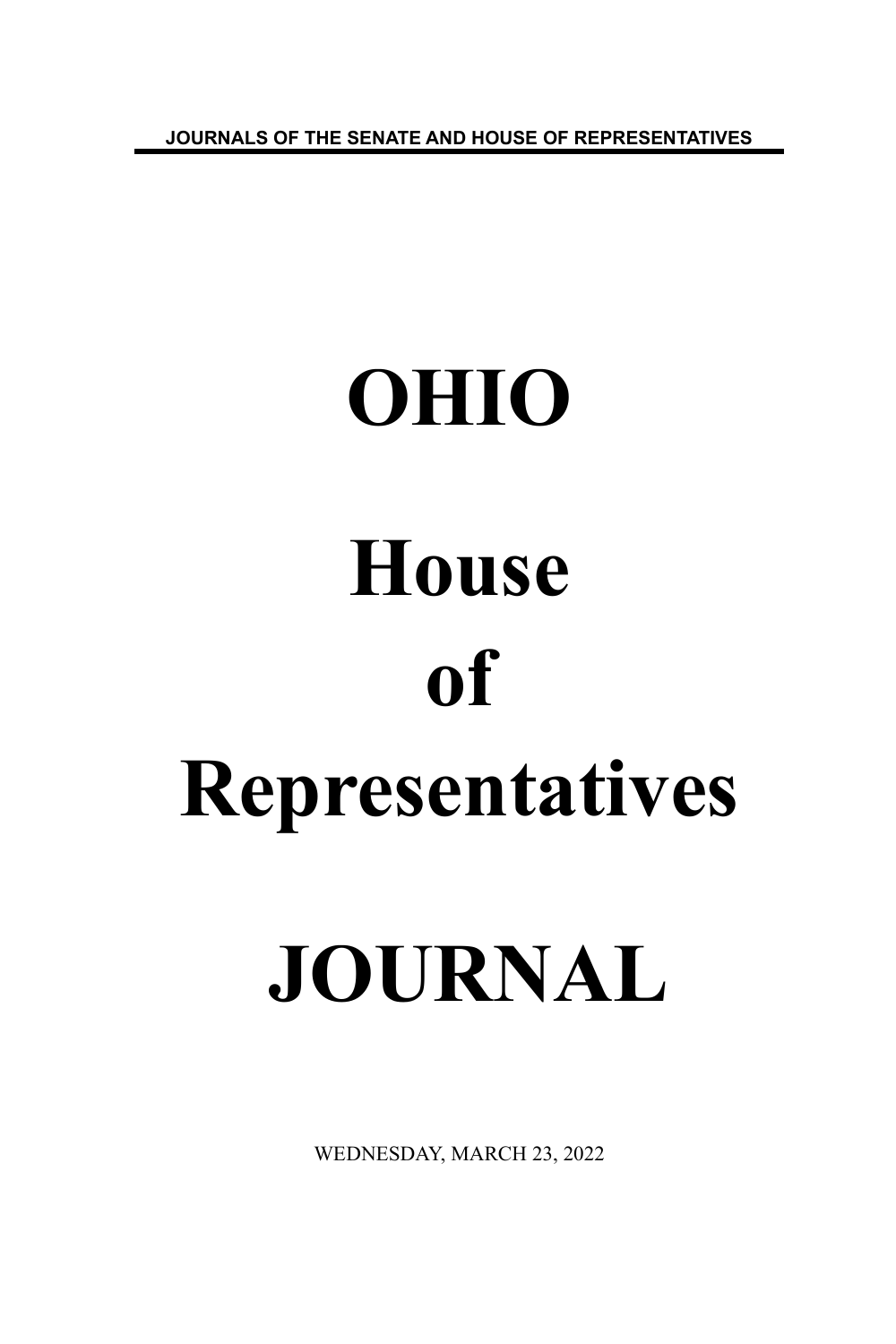**JOURNALS OF THE SENATE AND HOUSE OF REPRESENTATIVES**

# **OHIO House of Representatives JOURNAL**

WEDNESDAY, MARCH 23, 2022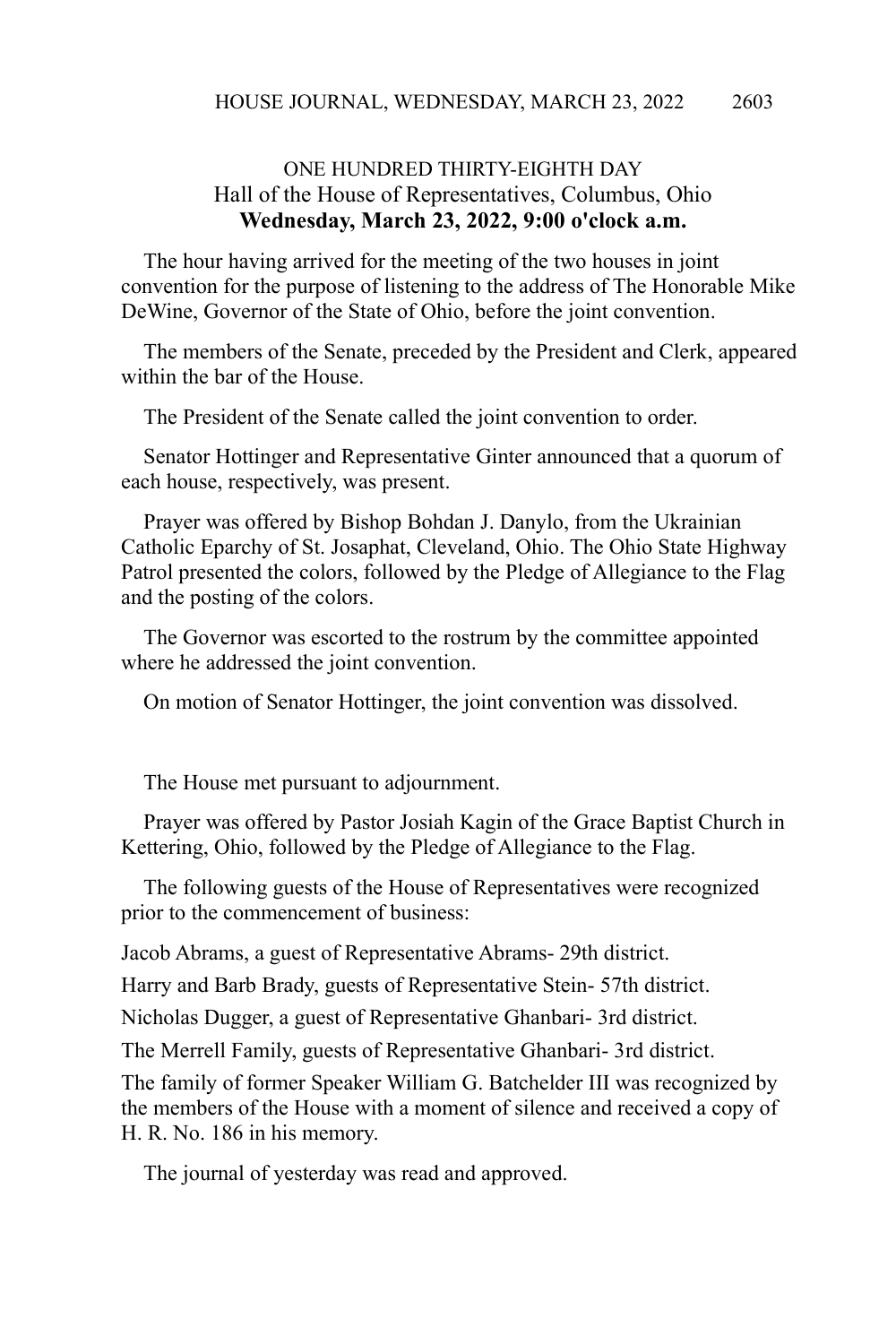# ONE HUNDRED THIRTY-EIGHTH DAY Hall of the House of Representatives, Columbus, Ohio **Wednesday, March 23, 2022, 9:00 o'clock a.m.**

The hour having arrived for the meeting of the two houses in joint convention for the purpose of listening to the address of The Honorable Mike DeWine, Governor of the State of Ohio, before the joint convention.

The members of the Senate, preceded by the President and Clerk, appeared within the bar of the House.

The President of the Senate called the joint convention to order.

Senator Hottinger and Representative Ginter announced that a quorum of each house, respectively, was present.

Prayer was offered by Bishop Bohdan J. Danylo, from the Ukrainian Catholic Eparchy of St. Josaphat, Cleveland, Ohio. The Ohio State Highway Patrol presented the colors, followed by the Pledge of Allegiance to the Flag and the posting of the colors.

The Governor was escorted to the rostrum by the committee appointed where he addressed the joint convention.

On motion of Senator Hottinger, the joint convention was dissolved.

The House met pursuant to adjournment.

Prayer was offered by Pastor Josiah Kagin of the Grace Baptist Church in Kettering, Ohio, followed by the Pledge of Allegiance to the Flag.

The following guests of the House of Representatives were recognized prior to the commencement of business:

Jacob Abrams, a guest of Representative Abrams- 29th district.

Harry and Barb Brady, guests of Representative Stein- 57th district.

Nicholas Dugger, a guest of Representative Ghanbari- 3rd district.

The Merrell Family, guests of Representative Ghanbari- 3rd district.

The family of former Speaker William G. Batchelder III was recognized by the members of the House with a moment of silence and received a copy of H. R. No. 186 in his memory.

The journal of yesterday was read and approved.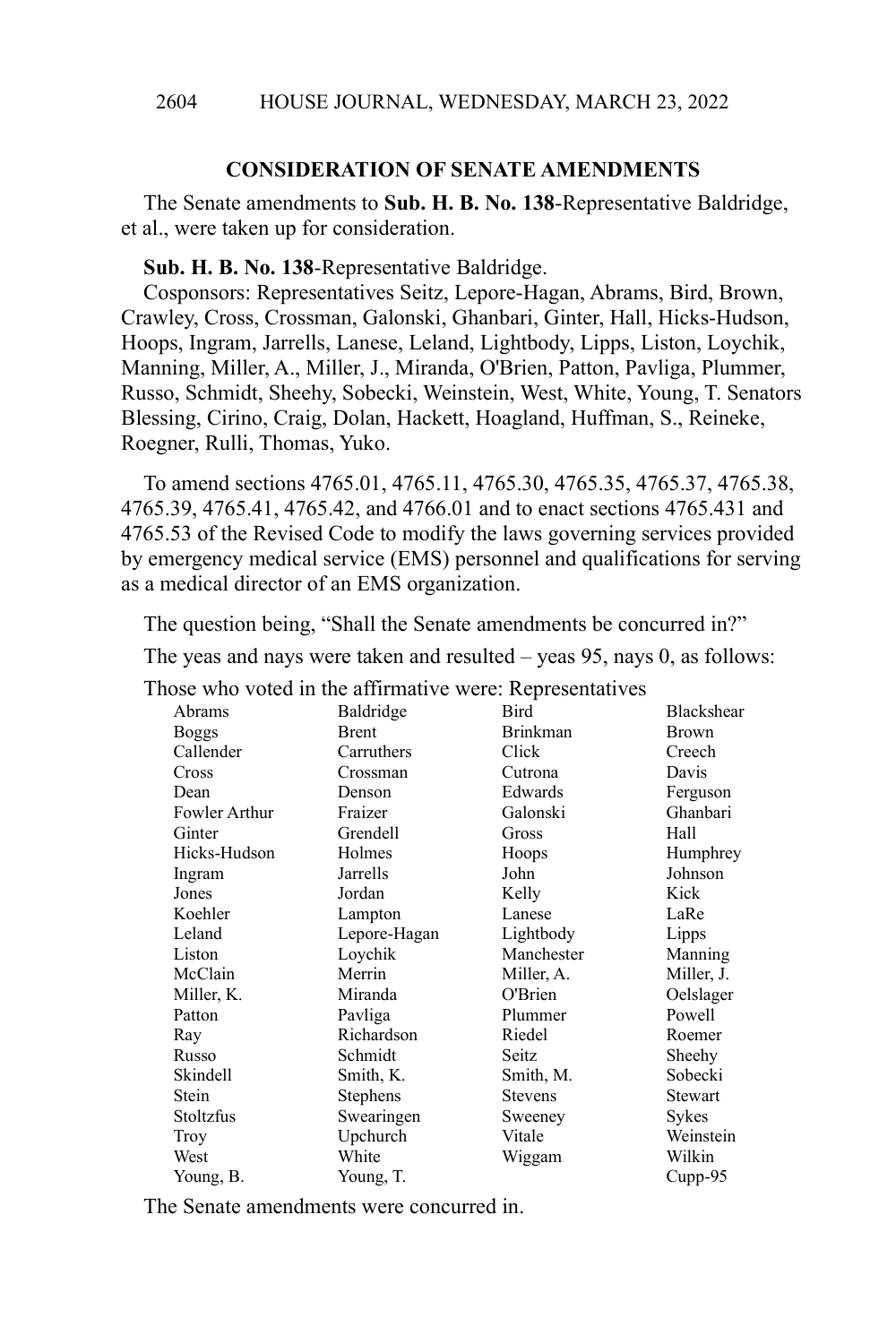## **CONSIDERATION OF SENATE AMENDMENTS**

The Senate amendments to **Sub. H. B. No. 138**-Representative Baldridge, et al., were taken up for consideration.

**Sub. H. B. No. 138**-Representative Baldridge.

Cosponsors: Representatives Seitz, Lepore-Hagan, Abrams, Bird, Brown, Crawley, Cross, Crossman, Galonski, Ghanbari, Ginter, Hall, Hicks-Hudson, Hoops, Ingram, Jarrells, Lanese, Leland, Lightbody, Lipps, Liston, Loychik, Manning, Miller, A., Miller, J., Miranda, O'Brien, Patton, Pavliga, Plummer, Russo, Schmidt, Sheehy, Sobecki, Weinstein, West, White, Young, T. Senators Blessing, Cirino, Craig, Dolan, Hackett, Hoagland, Huffman, S., Reineke, Roegner, Rulli, Thomas, Yuko.

To amend sections 4765.01, 4765.11, 4765.30, 4765.35, 4765.37, 4765.38, 4765.39, 4765.41, 4765.42, and 4766.01 and to enact sections 4765.431 and 4765.53 of the Revised Code to modify the laws governing services provided by emergency medical service (EMS) personnel and qualifications for serving as a medical director of an EMS organization.

The question being, "Shall the Senate amendments be concurred in?"

The yeas and nays were taken and resulted – yeas 95, nays 0, as follows:

Those who voted in the affirmative were: Representatives

|               | rose who voice in the annihilative were. Representatives |                 |              |
|---------------|----------------------------------------------------------|-----------------|--------------|
| Abrams        | Baldridge                                                | Bird            | Blackshear   |
| <b>Boggs</b>  | Brent                                                    | <b>Brinkman</b> | <b>Brown</b> |
| Callender     | Carruthers                                               | Click           | Creech       |
| Cross         | Crossman                                                 | Cutrona         | Davis        |
| Dean          | Denson                                                   | Edwards         | Ferguson     |
| Fowler Arthur | Fraizer                                                  | Galonski        | Ghanbari     |
| Ginter        | Grendell                                                 | Gross           | Hall         |
| Hicks-Hudson  | Holmes                                                   | Hoops           | Humphrey     |
| Ingram        | Jarrells                                                 | John            | Johnson      |
| Jones         | Jordan                                                   | Kelly           | Kick         |
| Koehler       | Lampton                                                  | Lanese          | LaRe         |
| Leland        | Lepore-Hagan                                             | Lightbody       | Lipps        |
| Liston        | Loychik                                                  | Manchester      | Manning      |
| McClain       | Merrin                                                   | Miller, A.      | Miller, J.   |
| Miller, K.    | Miranda                                                  | O'Brien         | Oelslager    |
| Patton        | Pavliga                                                  | Plummer         | Powell       |
| Ray           | Richardson                                               | Riedel          | Roemer       |
| Russo         | Schmidt                                                  | Seitz           | Sheehy       |
| Skindell      | Smith, K.                                                | Smith, M.       | Sobecki      |
| Stein         | Stephens                                                 | <b>Stevens</b>  | Stewart      |
| Stoltzfus     | Swearingen                                               | Sweeney         | Sykes        |
| Troy          | Upchurch                                                 | Vitale          | Weinstein    |
| West          | White                                                    | Wiggam          | Wilkin       |
| Young, B.     | Young, T.                                                |                 | $Cupp-95$    |

The Senate amendments were concurred in.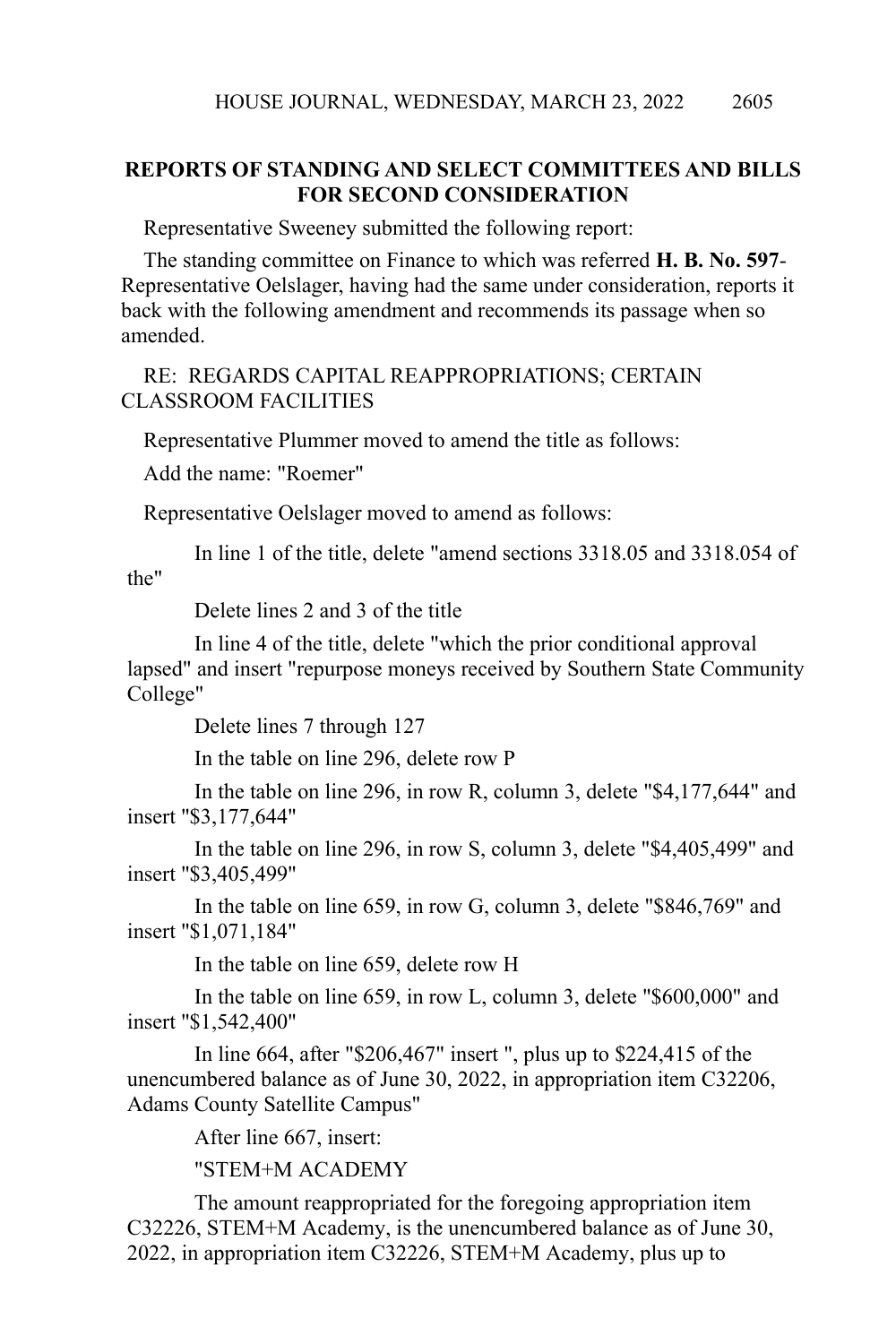# **REPORTS OF STANDING AND SELECT COMMITTEES AND BILLS FOR SECOND CONSIDERATION**

Representative Sweeney submitted the following report:

The standing committee on Finance to which was referred **H. B. No. 597**- Representative Oelslager, having had the same under consideration, reports it back with the following amendment and recommends its passage when so amended.

## RE: REGARDS CAPITAL REAPPROPRIATIONS; CERTAIN CLASSROOM FACILITIES

Representative Plummer moved to amend the title as follows:

Add the name: "Roemer"

Representative Oelslager moved to amend as follows:

In line 1 of the title, delete "amend sections 3318.05 and 3318.054 of the"

Delete lines 2 and 3 of the title

In line 4 of the title, delete "which the prior conditional approval lapsed" and insert "repurpose moneys received by Southern State Community College"

Delete lines 7 through 127

In the table on line 296, delete row P

In the table on line 296, in row R, column 3, delete "\$4,177,644" and insert "\$3,177,644"

In the table on line 296, in row S, column 3, delete "\$4,405,499" and insert "\$3,405,499"

In the table on line 659, in row G, column 3, delete "\$846,769" and insert "\$1,071,184"

In the table on line 659, delete row H

In the table on line 659, in row L, column 3, delete "\$600,000" and insert "\$1,542,400"

In line 664, after "\$206,467" insert ", plus up to \$224,415 of the unencumbered balance as of June 30, 2022, in appropriation item C32206, Adams County Satellite Campus"

After line 667, insert:

"STEM+M ACADEMY

The amount reappropriated for the foregoing appropriation item C32226, STEM+M Academy, is the unencumbered balance as of June 30, 2022, in appropriation item C32226, STEM+M Academy, plus up to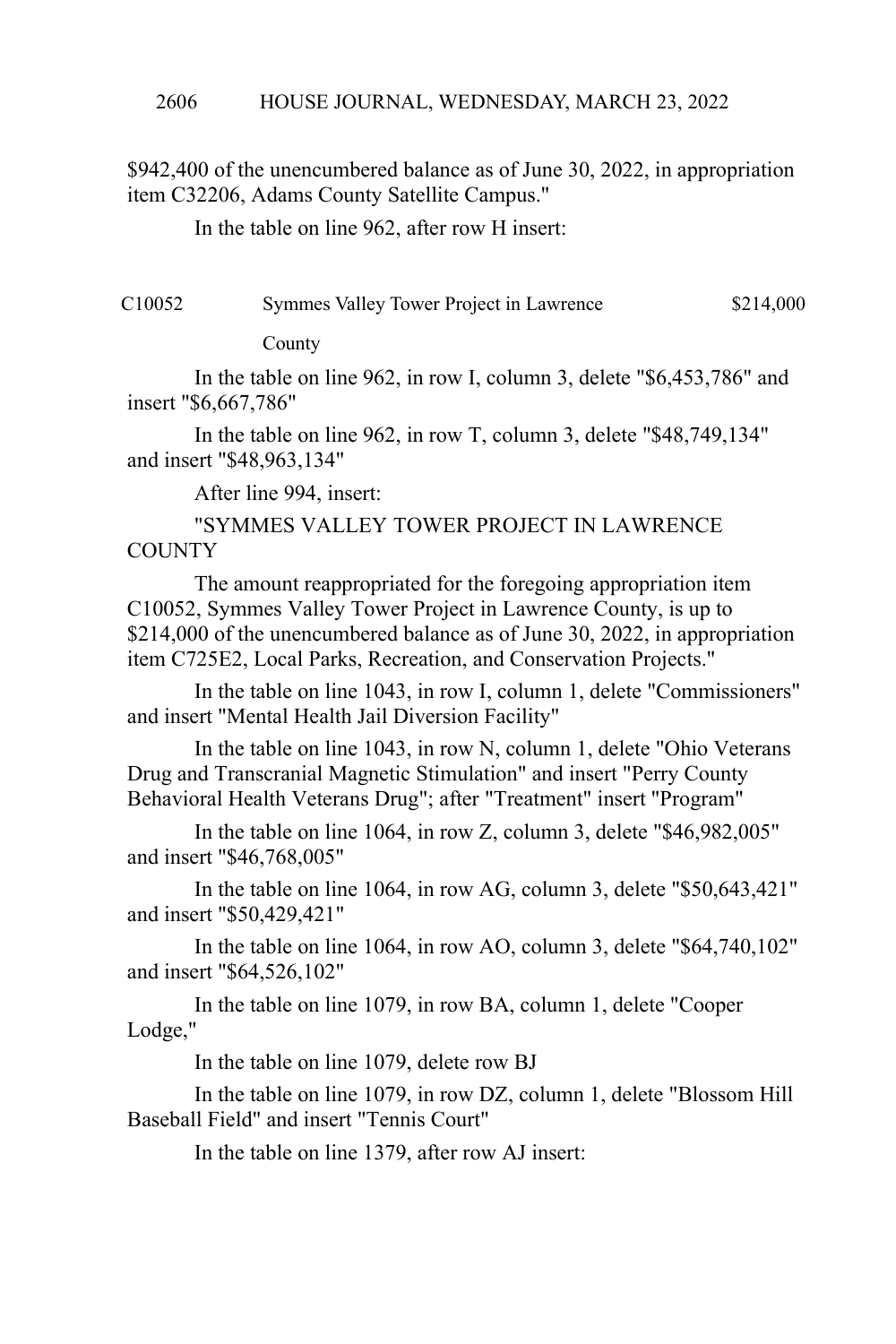\$942,400 of the unencumbered balance as of June 30, 2022, in appropriation item C32206, Adams County Satellite Campus."

In the table on line 962, after row H insert:

| C10052 | Symmes Valley Tower Project in Lawrence | \$214,000 |
|--------|-----------------------------------------|-----------|
|--------|-----------------------------------------|-----------|

County

In the table on line 962, in row I, column 3, delete "\$6,453,786" and insert "\$6,667,786"

In the table on line 962, in row T, column 3, delete "\$48,749,134" and insert "\$48,963,134"

After line 994, insert:

"SYMMES VALLEY TOWER PROJECT IN LAWRENCE **COUNTY** 

The amount reappropriated for the foregoing appropriation item C10052, Symmes Valley Tower Project in Lawrence County, is up to \$214,000 of the unencumbered balance as of June 30, 2022, in appropriation item C725E2, Local Parks, Recreation, and Conservation Projects."

In the table on line 1043, in row I, column 1, delete "Commissioners" and insert "Mental Health Jail Diversion Facility"

In the table on line 1043, in row N, column 1, delete "Ohio Veterans Drug and Transcranial Magnetic Stimulation" and insert "Perry County Behavioral Health Veterans Drug"; after "Treatment" insert "Program"

In the table on line 1064, in row Z, column 3, delete "\$46,982,005" and insert "\$46,768,005"

In the table on line 1064, in row AG, column 3, delete "\$50,643,421" and insert "\$50,429,421"

In the table on line 1064, in row AO, column 3, delete "\$64,740,102" and insert "\$64,526,102"

In the table on line 1079, in row BA, column 1, delete "Cooper Lodge,"

In the table on line 1079, delete row BJ

In the table on line 1079, in row DZ, column 1, delete "Blossom Hill Baseball Field" and insert "Tennis Court"

In the table on line 1379, after row AJ insert: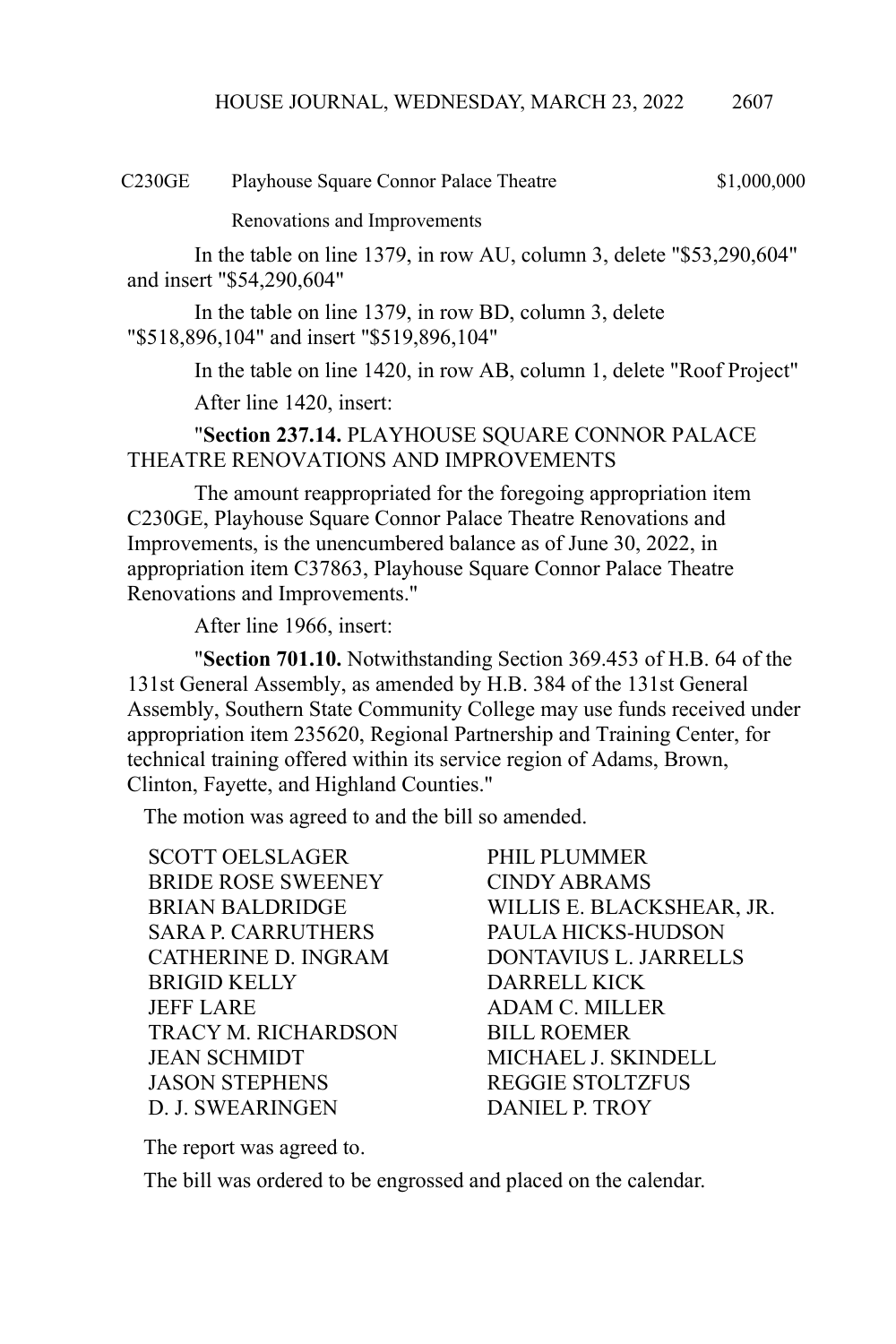C230GE Playhouse Square Connor Palace Theatre \$1,000,000

Renovations and Improvements

In the table on line 1379, in row AU, column 3, delete "\$53,290,604" and insert "\$54,290,604"

In the table on line 1379, in row BD, column 3, delete "\$518,896,104" and insert "\$519,896,104"

In the table on line 1420, in row AB, column 1, delete "Roof Project"

After line 1420, insert:

"**Section 237.14.** PLAYHOUSE SQUARE CONNOR PALACE THEATRE RENOVATIONS AND IMPROVEMENTS

The amount reappropriated for the foregoing appropriation item C230GE, Playhouse Square Connor Palace Theatre Renovations and Improvements, is the unencumbered balance as of June 30, 2022, in appropriation item C37863, Playhouse Square Connor Palace Theatre Renovations and Improvements."

After line 1966, insert:

"**Section 701.10.** Notwithstanding Section 369.453 of H.B. 64 of the 131st General Assembly, as amended by H.B. 384 of the 131st General Assembly, Southern State Community College may use funds received under appropriation item 235620, Regional Partnership and Training Center, for technical training offered within its service region of Adams, Brown, Clinton, Fayette, and Highland Counties."

The motion was agreed to and the bill so amended.

SCOTT OELSLAGER
PHIL PLUMMER BRIDE ROSE SWEENEY CINDY ABRAMS SARA P. CARRUTHERS PAULA HICKS-HUDSON BRIGID KELLY DARRELL KICK JEFF LARE ADAM C. MILLER TRACY M. RICHARDSON BILL ROEMER JEAN SCHMIDT MICHAEL J. SKINDELL JASON STEPHENS REGGIE STOLTZFUS D. J. SWEARINGEN DANIEL P. TROY

BRIAN BALDRIDGE WILLIS E. BLACKSHEAR, JR. CATHERINE D. INGRAM DONTAVIUS L. JARRELLS

The report was agreed to.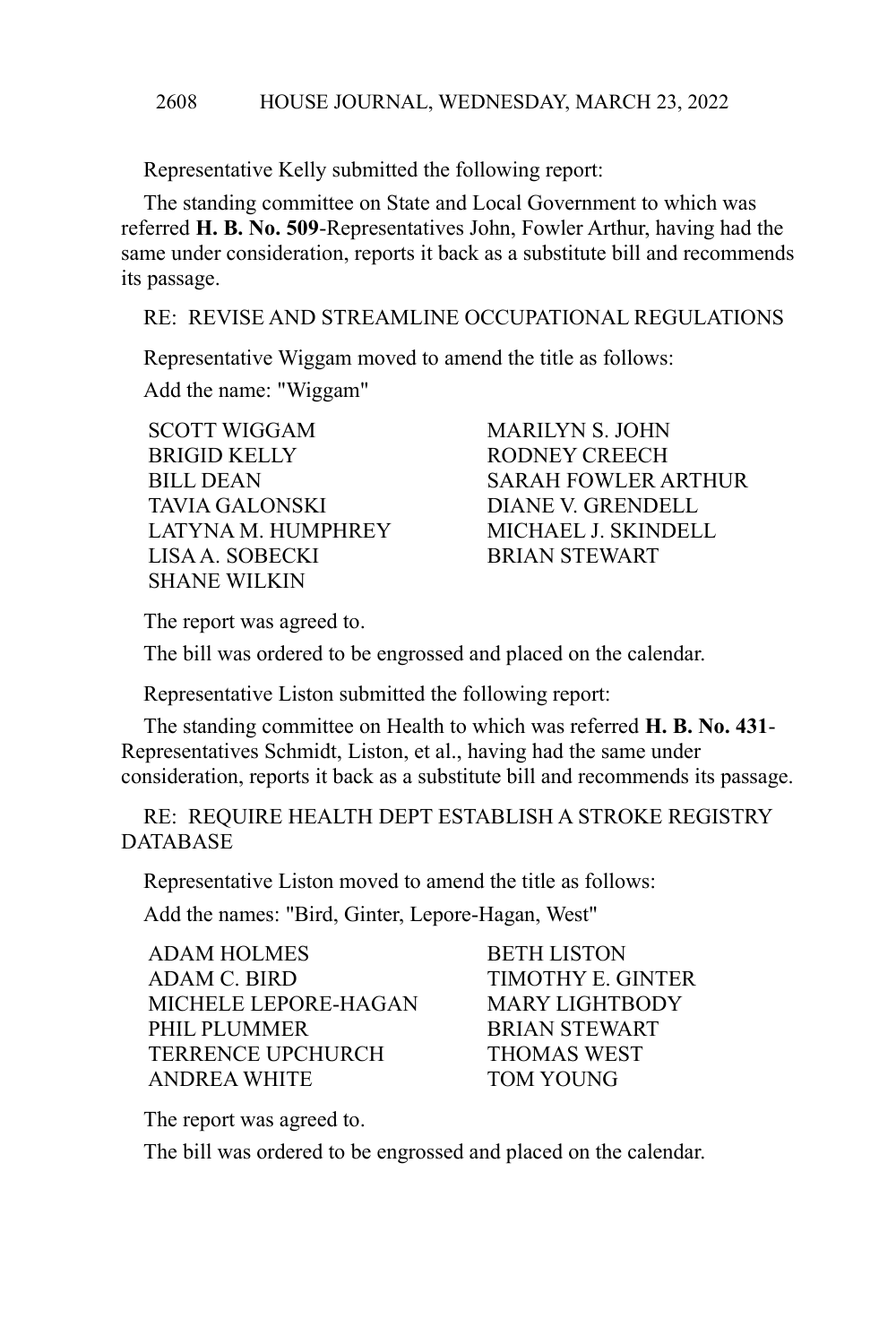Representative Kelly submitted the following report:

The standing committee on State and Local Government to which was referred **H. B. No. 509**-Representatives John, Fowler Arthur, having had the same under consideration, reports it back as a substitute bill and recommends its passage.

RE: REVISE AND STREAMLINE OCCUPATIONAL REGULATIONS

Representative Wiggam moved to amend the title as follows:

Add the name: "Wiggam"

SCOTT WIGGAM MARILYN S. JOHN BRIGID KELLY RODNEY CREECH TAVIA GALONSKI DIANE V. GRENDELL LATYNA M. HUMPHREY MICHAEL J. SKINDELL LISA A. SOBECKI BRIAN STEWART SHANE WILKIN

BILL DEAN SARAH FOWLER ARTHUR

The report was agreed to.

The bill was ordered to be engrossed and placed on the calendar.

Representative Liston submitted the following report:

The standing committee on Health to which was referred **H. B. No. 431**- Representatives Schmidt, Liston, et al., having had the same under consideration, reports it back as a substitute bill and recommends its passage.

RE: REQUIRE HEALTH DEPT ESTABLISH A STROKE REGISTRY DATABASE

Representative Liston moved to amend the title as follows:

Add the names: "Bird, Ginter, Lepore-Hagan, West"

| <b>ADAM HOLMES</b>       | <b>BETH LISTON</b>       |
|--------------------------|--------------------------|
| ADAM C. BIRD             | <b>TIMOTHY E. GINTER</b> |
| MICHELE LEPORE-HAGAN     | <b>MARY LIGHTBODY</b>    |
| PHIL PLUMMER             | <b>BRIAN STEWART</b>     |
| <b>TERRENCE UPCHURCH</b> | <b>THOMAS WEST</b>       |
| ANDREA WHITE             | <b>TOM YOUNG</b>         |

The report was agreed to.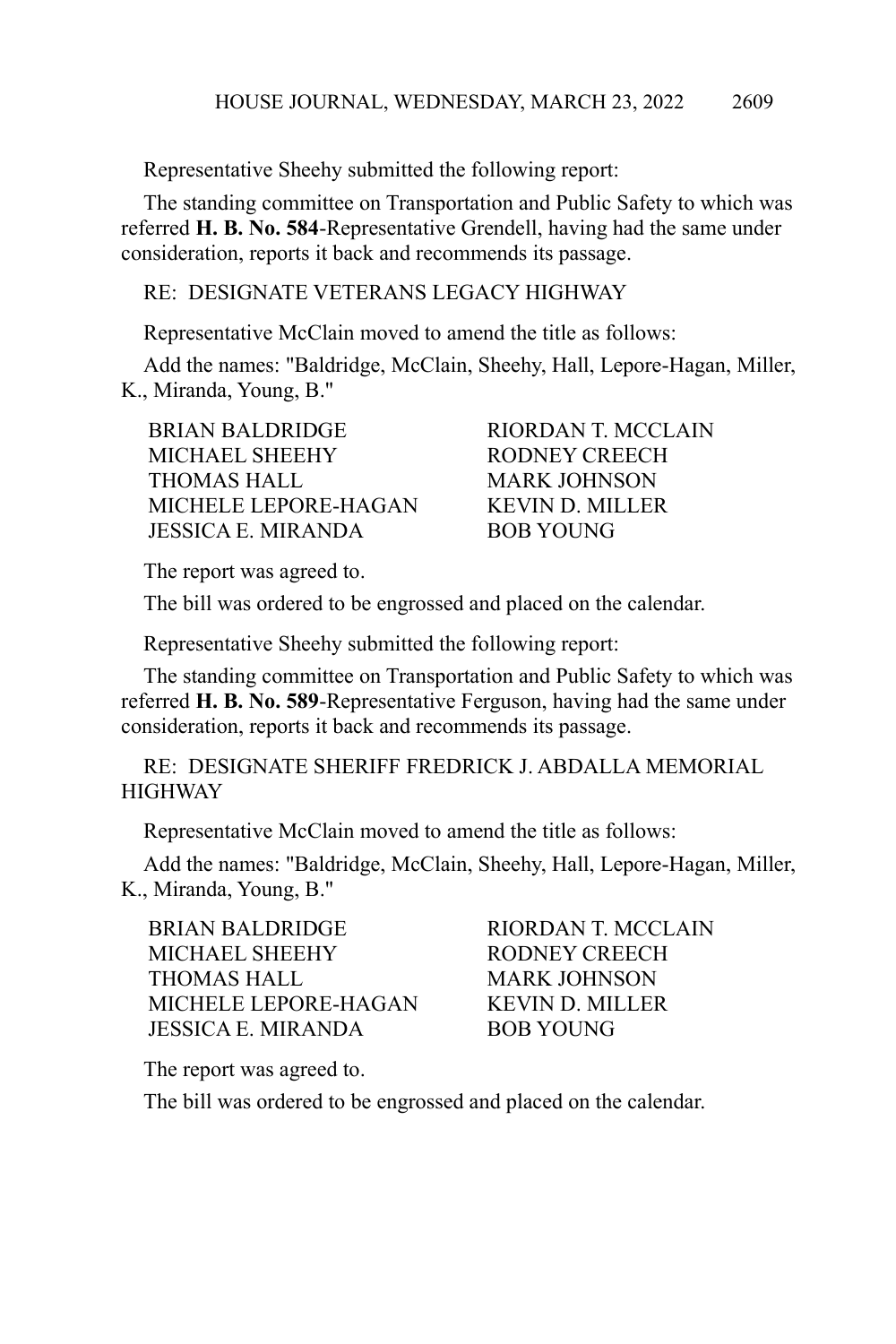Representative Sheehy submitted the following report:

The standing committee on Transportation and Public Safety to which was referred **H. B. No. 584**-Representative Grendell, having had the same under consideration, reports it back and recommends its passage.

## RE: DESIGNATE VETERANS LEGACY HIGHWAY

Representative McClain moved to amend the title as follows:

Add the names: "Baldridge, McClain, Sheehy, Hall, Lepore-Hagan, Miller, K., Miranda, Young, B."

BRIAN BALDRIDGE RIORDAN T. MCCLAIN MICHAEL SHEEHY RODNEY CREECH THOMAS HALL MARK JOHNSON MICHELE LEPORE-HAGAN KEVIN D. MILLER JESSICA E. MIRANDA BOB YOUNG

The report was agreed to.

The bill was ordered to be engrossed and placed on the calendar.

Representative Sheehy submitted the following report:

The standing committee on Transportation and Public Safety to which was referred **H. B. No. 589**-Representative Ferguson, having had the same under consideration, reports it back and recommends its passage.

RE: DESIGNATE SHERIFF FREDRICK J. ABDALLA MEMORIAL **HIGHWAY** 

Representative McClain moved to amend the title as follows:

Add the names: "Baldridge, McClain, Sheehy, Hall, Lepore-Hagan, Miller, K., Miranda, Young, B."

BRIAN BALDRIDGE RIORDAN T. MCCLAIN MICHAEL SHEEHY RODNEY CREECH THOMAS HALL MARK JOHNSON MICHELE LEPORE-HAGAN KEVIN D. MILLER JESSICA E. MIRANDA BOB YOUNG

The report was agreed to.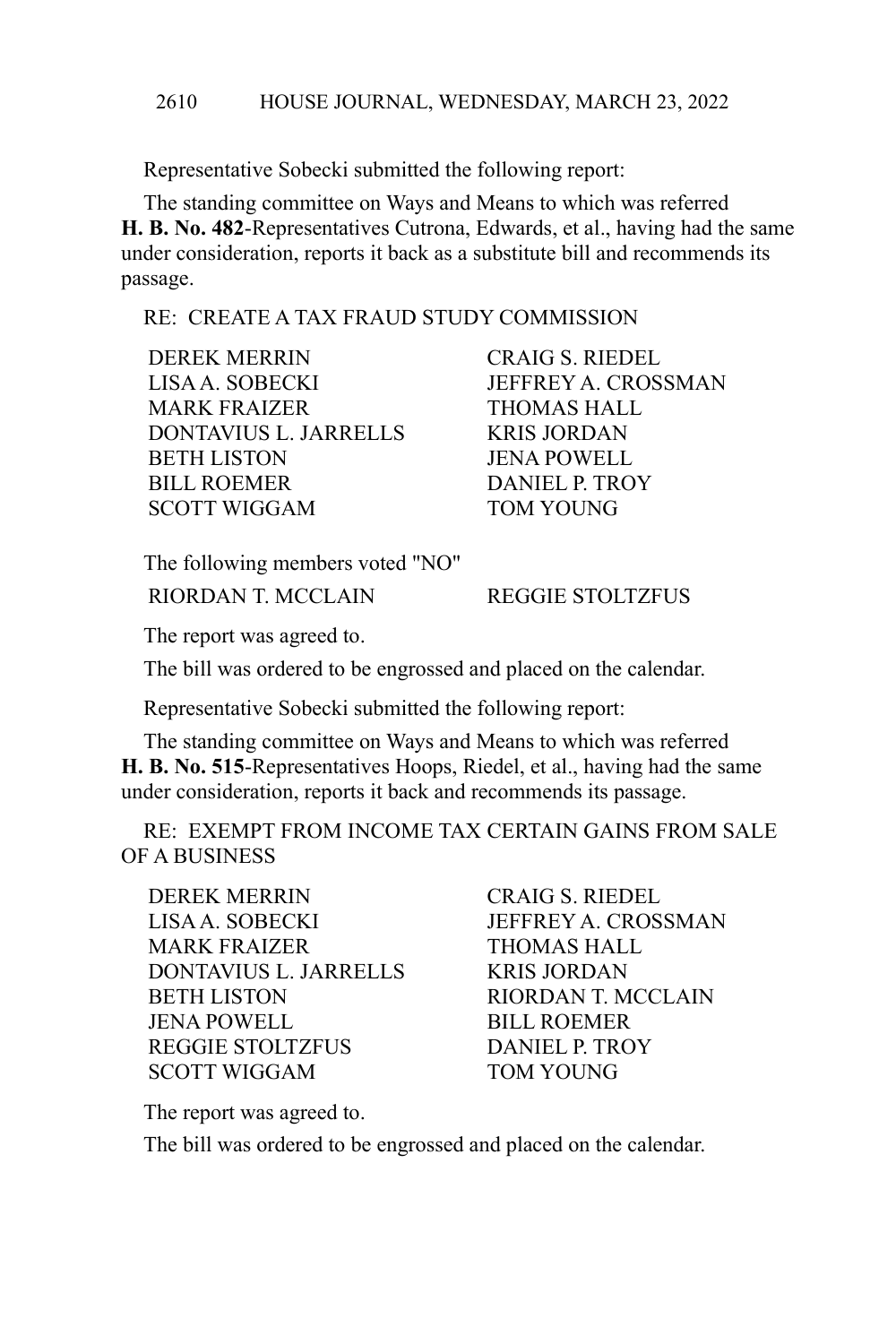#### HOUSE JOURNAL, WEDNESDAY, MARCH 23, 2022 2610

Representative Sobecki submitted the following report:

The standing committee on Ways and Means to which was referred **H. B. No. 482**-Representatives Cutrona, Edwards, et al., having had the same under consideration, reports it back as a substitute bill and recommends its passage.

## RE: CREATE A TAX FRAUD STUDY COMMISSION

DEREK MERRIN CRAIG S. RIEDEL LISA A. SOBECKI JEFFREY A. CROSSMAN MARK FRAIZER **THOMAS HALL** DONTAVIUS L. JARRELLS KRIS JORDAN BETH LISTON JENA POWELL BILL ROEMER DANIEL P. TROY SCOTT WIGGAM TOM YOUNG

The following members voted "NO" RIORDAN T. MCCLAIN REGGIE STOLTZFUS

The report was agreed to.

The bill was ordered to be engrossed and placed on the calendar.

Representative Sobecki submitted the following report:

The standing committee on Ways and Means to which was referred **H. B. No. 515**-Representatives Hoops, Riedel, et al., having had the same under consideration, reports it back and recommends its passage.

RE: EXEMPT FROM INCOME TAX CERTAIN GAINS FROM SALE OF A BUSINESS

DEREK MERRIN CRAIG S. RIEDEL LISA A. SOBECKI JEFFREY A. CROSSMAN MARK FRAIZER **THOMAS HALL** DONTAVIUS L. JARRELLS KRIS JORDAN BETH LISTON RIORDAN T. MCCLAIN JENA POWELL BILL ROEMER REGGIE STOLTZFUS DANIEL P. TROY SCOTT WIGGAM TOM YOUNG

The report was agreed to.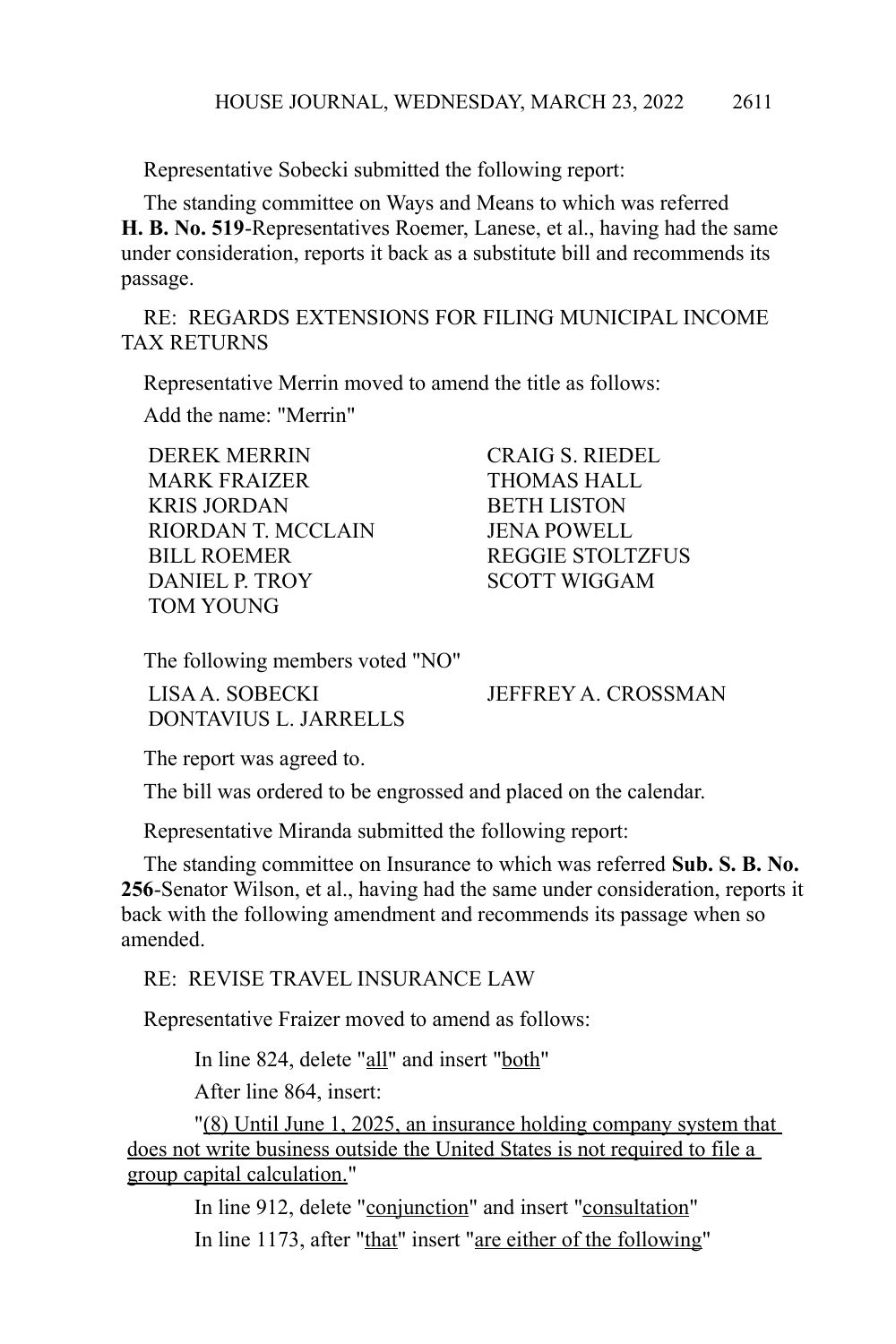Representative Sobecki submitted the following report:

The standing committee on Ways and Means to which was referred **H. B. No. 519**-Representatives Roemer, Lanese, et al., having had the same under consideration, reports it back as a substitute bill and recommends its passage.

RE: REGARDS EXTENSIONS FOR FILING MUNICIPAL INCOME TAX RETURNS

Representative Merrin moved to amend the title as follows:

Add the name: "Merrin"

DEREK MERRIN CRAIG S. RIEDEL MARK FRAIZER **THOMAS HALL** KRIS JORDAN BETH LISTON RIORDAN T. MCCLAIN JENA POWELL BILL ROEMER REGGIE STOLTZFUS DANIEL P. TROY SCOTT WIGGAM TOM YOUNG

The following members voted "NO"

LISA A. SOBECKI JEFFREY A. CROSSMAN DONTAVIUS L. JARRELLS

The report was agreed to.

The bill was ordered to be engrossed and placed on the calendar.

Representative Miranda submitted the following report:

The standing committee on Insurance to which was referred **Sub. S. B. No. 256**-Senator Wilson, et al., having had the same under consideration, reports it back with the following amendment and recommends its passage when so amended.

RE: REVISE TRAVEL INSURANCE LAW

Representative Fraizer moved to amend as follows:

In line 824, delete "all" and insert "both"

After line 864, insert:

"(8) Until June 1, 2025, an insurance holding company system that does not write business outside the United States is not required to file a group capital calculation."

In line 912, delete "conjunction" and insert "consultation" In line 1173, after "that" insert "are either of the following"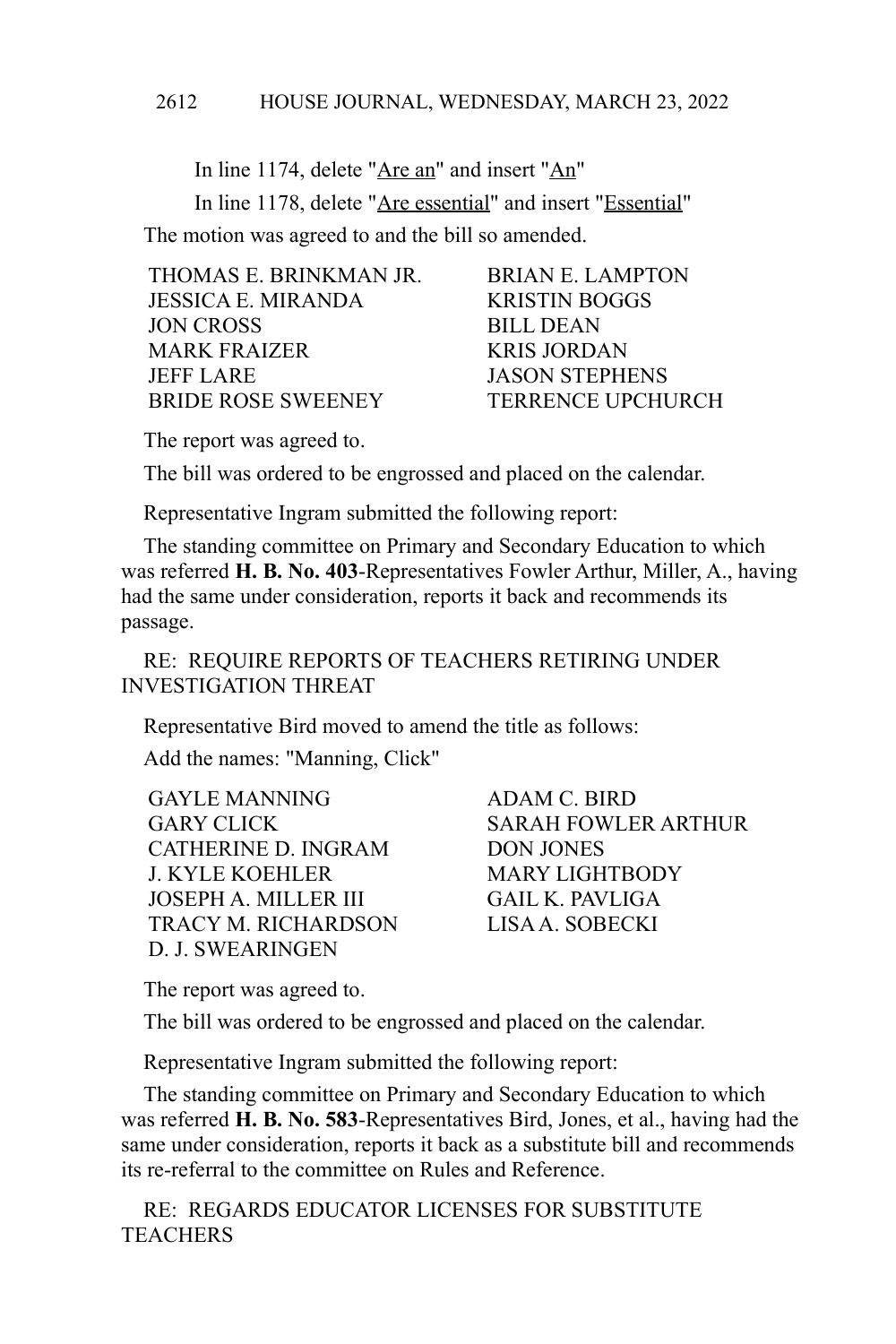In line 1174, delete "Are an" and insert "An" In line 1178, delete "Are essential" and insert "Essential" The motion was agreed to and the bill so amended.

| THOMAS E. BRINKMAN JR.    | <b>BRIAN E. LAMPTON</b>  |
|---------------------------|--------------------------|
| <b>JESSICA E. MIRANDA</b> | <b>KRISTIN BOGGS</b>     |
| JON CROSS                 | <b>BILL DEAN</b>         |
| <b>MARK FRAIZER</b>       | <b>KRIS JORDAN</b>       |
| <b>JEFF LARE</b>          | <b>JASON STEPHENS</b>    |
| <b>BRIDE ROSE SWEENEY</b> | <b>TERRENCE UPCHURCH</b> |
|                           |                          |

The report was agreed to.

The bill was ordered to be engrossed and placed on the calendar.

Representative Ingram submitted the following report:

The standing committee on Primary and Secondary Education to which was referred **H. B. No. 403**-Representatives Fowler Arthur, Miller, A., having had the same under consideration, reports it back and recommends its passage.

RE: REQUIRE REPORTS OF TEACHERS RETIRING UNDER INVESTIGATION THREAT

Representative Bird moved to amend the title as follows:

Add the names: "Manning, Click"

GAYLE MANNING ADAM C. BIRD CATHERINE D. INGRAM DON JONES J. KYLE KOEHLER MARY LIGHTBODY JOSEPH A. MILLER III GAIL K. PAVLIGA TRACY M. RICHARDSON LISA A. SOBECKI D. J. SWEARINGEN

GARY CLICK SARAH FOWLER ARTHUR

The report was agreed to.

The bill was ordered to be engrossed and placed on the calendar.

Representative Ingram submitted the following report:

The standing committee on Primary and Secondary Education to which was referred **H. B. No. 583**-Representatives Bird, Jones, et al., having had the same under consideration, reports it back as a substitute bill and recommends its re-referral to the committee on Rules and Reference.

RE: REGARDS EDUCATOR LICENSES FOR SUBSTITUTE **TEACHERS**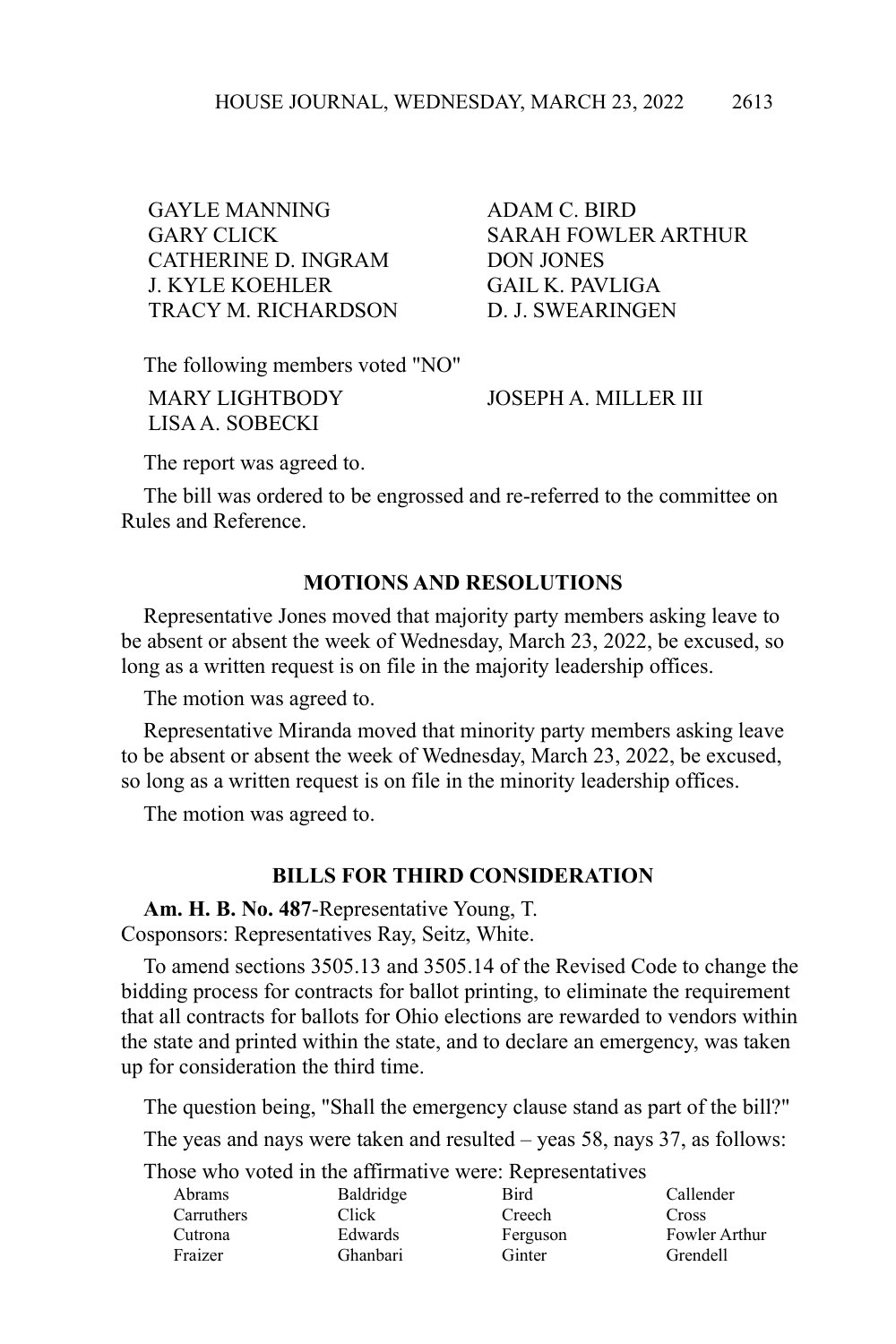GAYLE MANNING ADAM C. BIRD CATHERINE D. INGRAM DON JONES J. KYLE KOEHLER GAIL K. PAVLIGA TRACY M. RICHARDSON D. J. SWEARINGEN

GARY CLICK SARAH FOWLER ARTHUR

The following members voted "NO"

LISA A. SOBECKI

MARY LIGHTBODY JOSEPH A. MILLER III

The report was agreed to.

The bill was ordered to be engrossed and re-referred to the committee on Rules and Reference.

# **MOTIONS AND RESOLUTIONS**

Representative Jones moved that majority party members asking leave to be absent or absent the week of Wednesday, March 23, 2022, be excused, so long as a written request is on file in the majority leadership offices.

The motion was agreed to.

Representative Miranda moved that minority party members asking leave to be absent or absent the week of Wednesday, March 23, 2022, be excused, so long as a written request is on file in the minority leadership offices.

The motion was agreed to.

## **BILLS FOR THIRD CONSIDERATION**

**Am. H. B. No. 487**-Representative Young, T. Cosponsors: Representatives Ray, Seitz, White.

To amend sections 3505.13 and 3505.14 of the Revised Code to change the bidding process for contracts for ballot printing, to eliminate the requirement that all contracts for ballots for Ohio elections are rewarded to vendors within the state and printed within the state, and to declare an emergency, was taken up for consideration the third time.

The question being, "Shall the emergency clause stand as part of the bill?"

The yeas and nays were taken and resulted – yeas 58, nays 37, as follows:

| Abrams     | Baldridge | Bird     | Callender     |
|------------|-----------|----------|---------------|
| Carruthers | Click     | Creech   | Cross         |
| Cutrona    | Edwards   | Ferguson | Fowler Arthur |
| Fraizer    | Ghanbari  | Ginter   | Grendell      |
|            |           |          |               |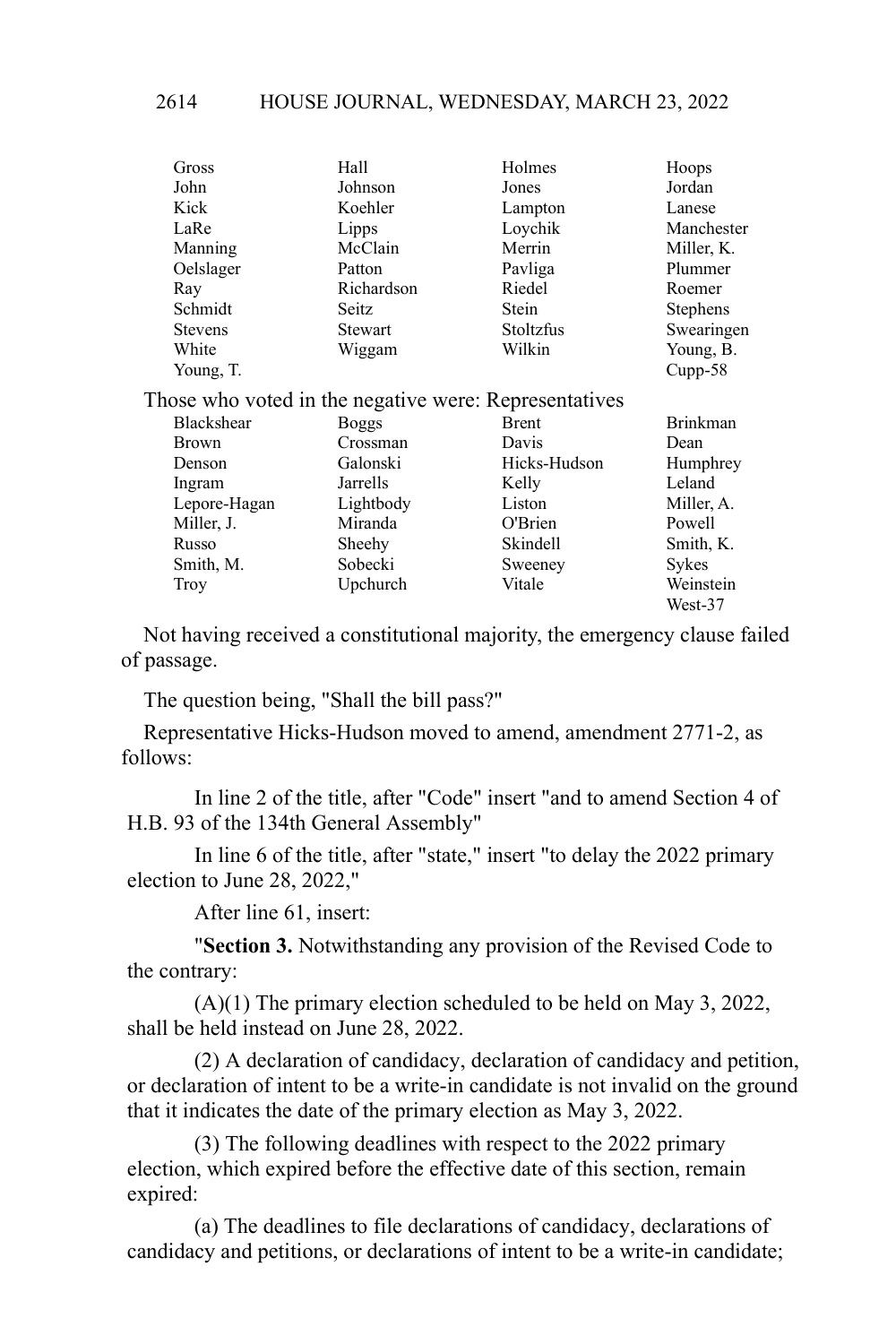#### HOUSE JOURNAL, WEDNESDAY, MARCH 23, 2022 2614

| Gross                                                 | Hall         | Holmes           | Hoops           |
|-------------------------------------------------------|--------------|------------------|-----------------|
| John                                                  | Johnson      | Jones            | Jordan          |
| Kick                                                  | Koehler      | Lampton          | Lanese          |
| LaRe                                                  | Lipps        | Loychik          | Manchester      |
| Manning                                               | McClain      | Merrin           | Miller, K.      |
| Oelslager                                             | Patton       | Pavliga          | Plummer         |
| Ray                                                   | Richardson   | Riedel           | Roemer          |
| Schmidt                                               | Seitz        | Stein            | Stephens        |
| <b>Stevens</b>                                        | Stewart      | <b>Stoltzfus</b> | Swearingen      |
| White                                                 | Wiggam       | Wilkin           | Young, B.       |
| Young, T.                                             |              |                  | $Cupp-58$       |
| Those who voted in the negative were: Representatives |              |                  |                 |
| <b>Blackshear</b>                                     | <b>Boggs</b> | <b>Brent</b>     | <b>Brinkman</b> |
| <b>Brown</b>                                          | Crossman     | Davis            | Dean            |
| Denson                                                | Galonski     | Hicks-Hudson     | Humphrey        |
| Ingram                                                | Jarrells     | Kelly            | Leland          |
| Lepore-Hagan                                          | Lightbody    | Liston           | Miller, A.      |
| Miller, J.                                            | Miranda      | O'Brien          | Powell          |
| Russo                                                 | Sheehy       | Skindell         | Smith, K.       |
| Smith, M.                                             | Sobecki      | Sweeney          | Sykes           |
| Troy                                                  | Upchurch     | Vitale           | Weinstein       |
|                                                       |              |                  | $West-37$       |

Not having received a constitutional majority, the emergency clause failed of passage.

The question being, "Shall the bill pass?"

Representative Hicks-Hudson moved to amend, amendment 2771-2, as follows:

In line 2 of the title, after "Code" insert "and to amend Section 4 of H.B. 93 of the 134th General Assembly"

In line 6 of the title, after "state," insert "to delay the 2022 primary election to June 28, 2022,"

After line 61, insert:

"**Section 3.** Notwithstanding any provision of the Revised Code to the contrary:

(A)(1) The primary election scheduled to be held on May 3, 2022, shall be held instead on June 28, 2022.

(2) A declaration of candidacy, declaration of candidacy and petition, or declaration of intent to be a write-in candidate is not invalid on the ground that it indicates the date of the primary election as May 3, 2022.

(3) The following deadlines with respect to the 2022 primary election, which expired before the effective date of this section, remain expired:

(a) The deadlines to file declarations of candidacy, declarations of candidacy and petitions, or declarations of intent to be a write-in candidate;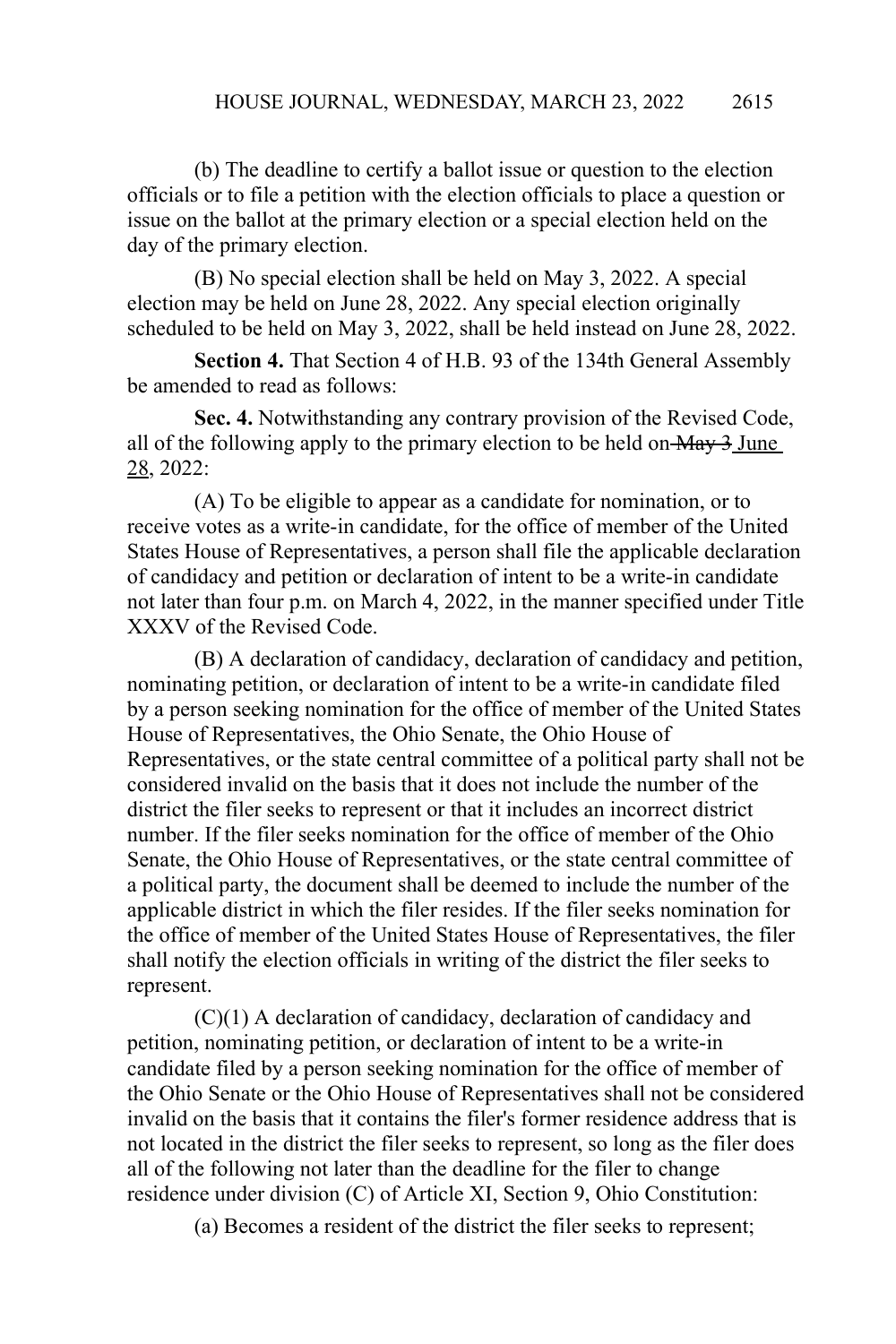(b) The deadline to certify a ballot issue or question to the election officials or to file a petition with the election officials to place a question or issue on the ballot at the primary election or a special election held on the day of the primary election.

(B) No special election shall be held on May 3, 2022. A special election may be held on June 28, 2022. Any special election originally scheduled to be held on May 3, 2022, shall be held instead on June 28, 2022.

**Section 4.** That Section 4 of H.B. 93 of the 134th General Assembly be amended to read as follows:

**Sec. 4.** Notwithstanding any contrary provision of the Revised Code, all of the following apply to the primary election to be held on  $\frac{\text{May } 3 \text{ June}}{2}$ 28, 2022:

(A) To be eligible to appear as a candidate for nomination, or to receive votes as a write-in candidate, for the office of member of the United States House of Representatives, a person shall file the applicable declaration of candidacy and petition or declaration of intent to be a write-in candidate not later than four p.m. on March 4, 2022, in the manner specified under Title XXXV of the Revised Code.

(B) A declaration of candidacy, declaration of candidacy and petition, nominating petition, or declaration of intent to be a write-in candidate filed by a person seeking nomination for the office of member of the United States House of Representatives, the Ohio Senate, the Ohio House of Representatives, or the state central committee of a political party shall not be considered invalid on the basis that it does not include the number of the district the filer seeks to represent or that it includes an incorrect district number. If the filer seeks nomination for the office of member of the Ohio Senate, the Ohio House of Representatives, or the state central committee of a political party, the document shall be deemed to include the number of the applicable district in which the filer resides. If the filer seeks nomination for the office of member of the United States House of Representatives, the filer shall notify the election officials in writing of the district the filer seeks to represent.

(C)(1) A declaration of candidacy, declaration of candidacy and petition, nominating petition, or declaration of intent to be a write-in candidate filed by a person seeking nomination for the office of member of the Ohio Senate or the Ohio House of Representatives shall not be considered invalid on the basis that it contains the filer's former residence address that is not located in the district the filer seeks to represent, so long as the filer does all of the following not later than the deadline for the filer to change residence under division (C) of Article XI, Section 9, Ohio Constitution:

(a) Becomes a resident of the district the filer seeks to represent;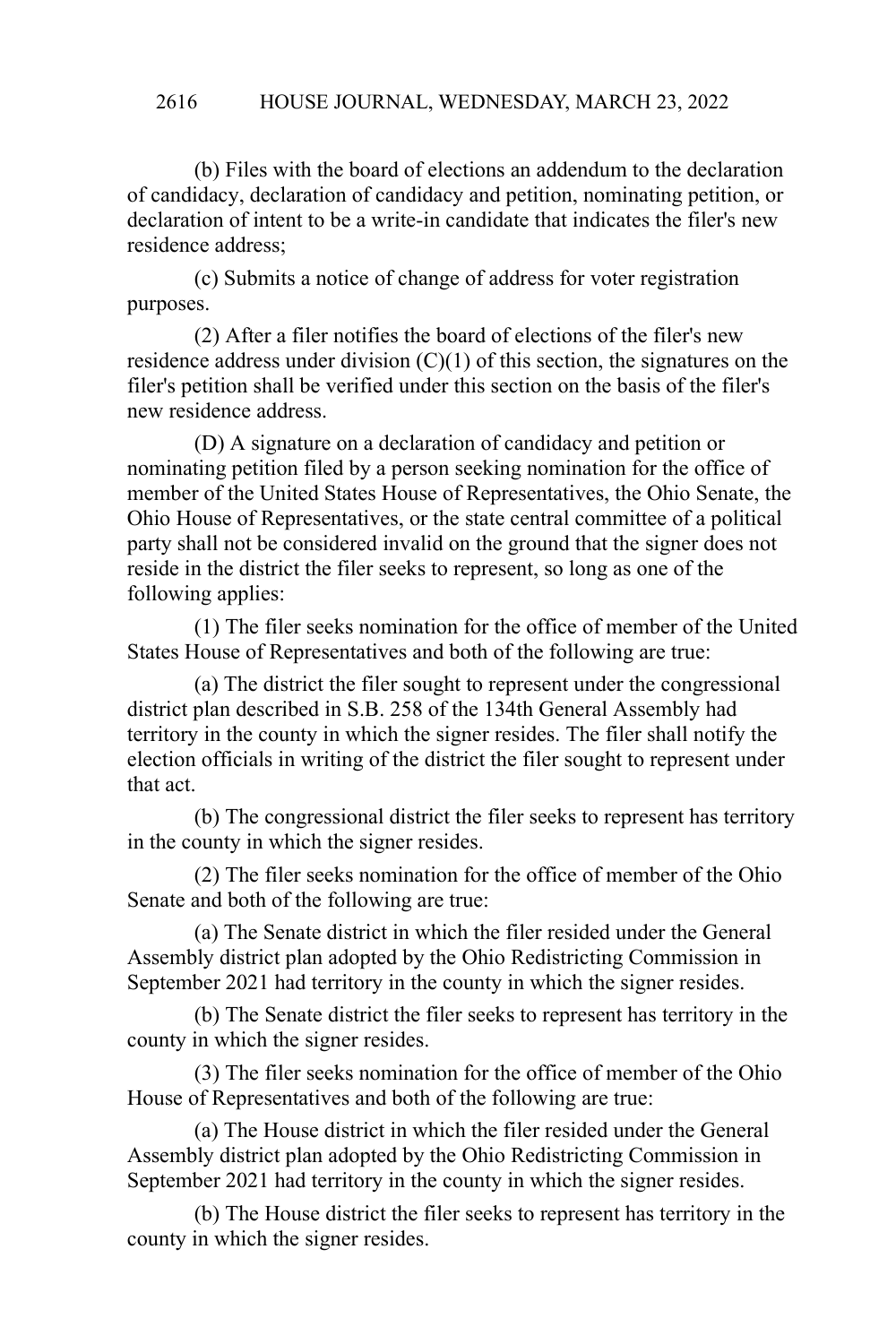#### HOUSE JOURNAL, WEDNESDAY, MARCH 23, 2022 2616

(b) Files with the board of elections an addendum to the declaration of candidacy, declaration of candidacy and petition, nominating petition, or declaration of intent to be a write-in candidate that indicates the filer's new residence address;

(c) Submits a notice of change of address for voter registration purposes.

(2) After a filer notifies the board of elections of the filer's new residence address under division  $(C)(1)$  of this section, the signatures on the filer's petition shall be verified under this section on the basis of the filer's new residence address.

(D) A signature on a declaration of candidacy and petition or nominating petition filed by a person seeking nomination for the office of member of the United States House of Representatives, the Ohio Senate, the Ohio House of Representatives, or the state central committee of a political party shall not be considered invalid on the ground that the signer does not reside in the district the filer seeks to represent, so long as one of the following applies:

(1) The filer seeks nomination for the office of member of the United States House of Representatives and both of the following are true:

(a) The district the filer sought to represent under the congressional district plan described in S.B. 258 of the 134th General Assembly had territory in the county in which the signer resides. The filer shall notify the election officials in writing of the district the filer sought to represent under that act.

(b) The congressional district the filer seeks to represent has territory in the county in which the signer resides.

(2) The filer seeks nomination for the office of member of the Ohio Senate and both of the following are true:

(a) The Senate district in which the filer resided under the General Assembly district plan adopted by the Ohio Redistricting Commission in September 2021 had territory in the county in which the signer resides.

(b) The Senate district the filer seeks to represent has territory in the county in which the signer resides.

(3) The filer seeks nomination for the office of member of the Ohio House of Representatives and both of the following are true:

(a) The House district in which the filer resided under the General Assembly district plan adopted by the Ohio Redistricting Commission in September 2021 had territory in the county in which the signer resides.

(b) The House district the filer seeks to represent has territory in the county in which the signer resides.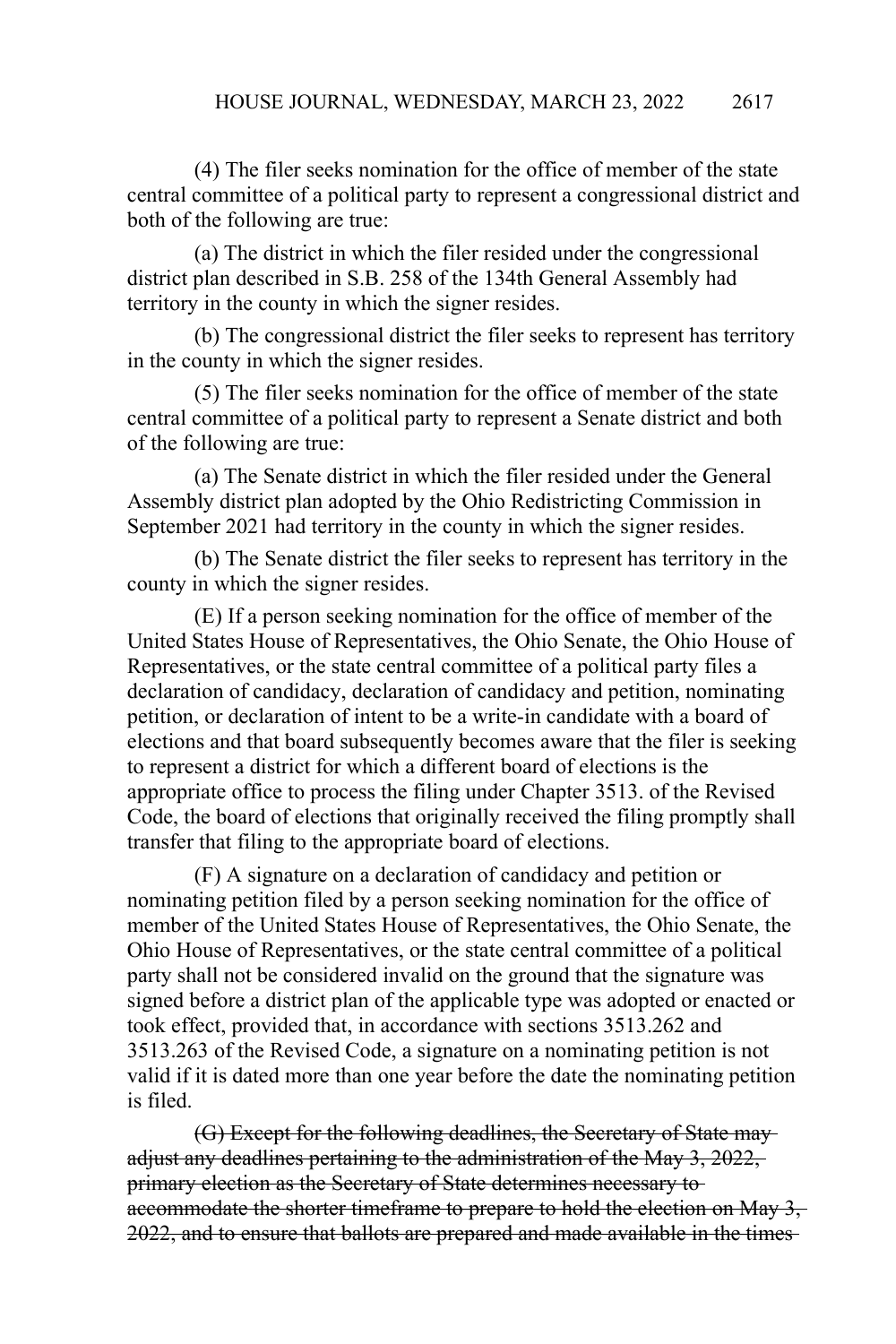(4) The filer seeks nomination for the office of member of the state central committee of a political party to represent a congressional district and both of the following are true:

(a) The district in which the filer resided under the congressional district plan described in S.B. 258 of the 134th General Assembly had territory in the county in which the signer resides.

(b) The congressional district the filer seeks to represent has territory in the county in which the signer resides.

(5) The filer seeks nomination for the office of member of the state central committee of a political party to represent a Senate district and both of the following are true:

(a) The Senate district in which the filer resided under the General Assembly district plan adopted by the Ohio Redistricting Commission in September 2021 had territory in the county in which the signer resides.

(b) The Senate district the filer seeks to represent has territory in the county in which the signer resides.

(E) If a person seeking nomination for the office of member of the United States House of Representatives, the Ohio Senate, the Ohio House of Representatives, or the state central committee of a political party files a declaration of candidacy, declaration of candidacy and petition, nominating petition, or declaration of intent to be a write-in candidate with a board of elections and that board subsequently becomes aware that the filer is seeking to represent a district for which a different board of elections is the appropriate office to process the filing under Chapter 3513. of the Revised Code, the board of elections that originally received the filing promptly shall transfer that filing to the appropriate board of elections.

(F) A signature on a declaration of candidacy and petition or nominating petition filed by a person seeking nomination for the office of member of the United States House of Representatives, the Ohio Senate, the Ohio House of Representatives, or the state central committee of a political party shall not be considered invalid on the ground that the signature was signed before a district plan of the applicable type was adopted or enacted or took effect, provided that, in accordance with sections 3513.262 and 3513.263 of the Revised Code, a signature on a nominating petition is not valid if it is dated more than one year before the date the nominating petition is filed.

(G) Except for the following deadlines, the Secretary of State may adjust any deadlines pertaining to the administration of the May 3, 2022, primary election as the Secretary of State determines necessary to accommodate the shorter timeframe to prepare to hold the election on May 3, 2022, and to ensure that ballots are prepared and made available in the times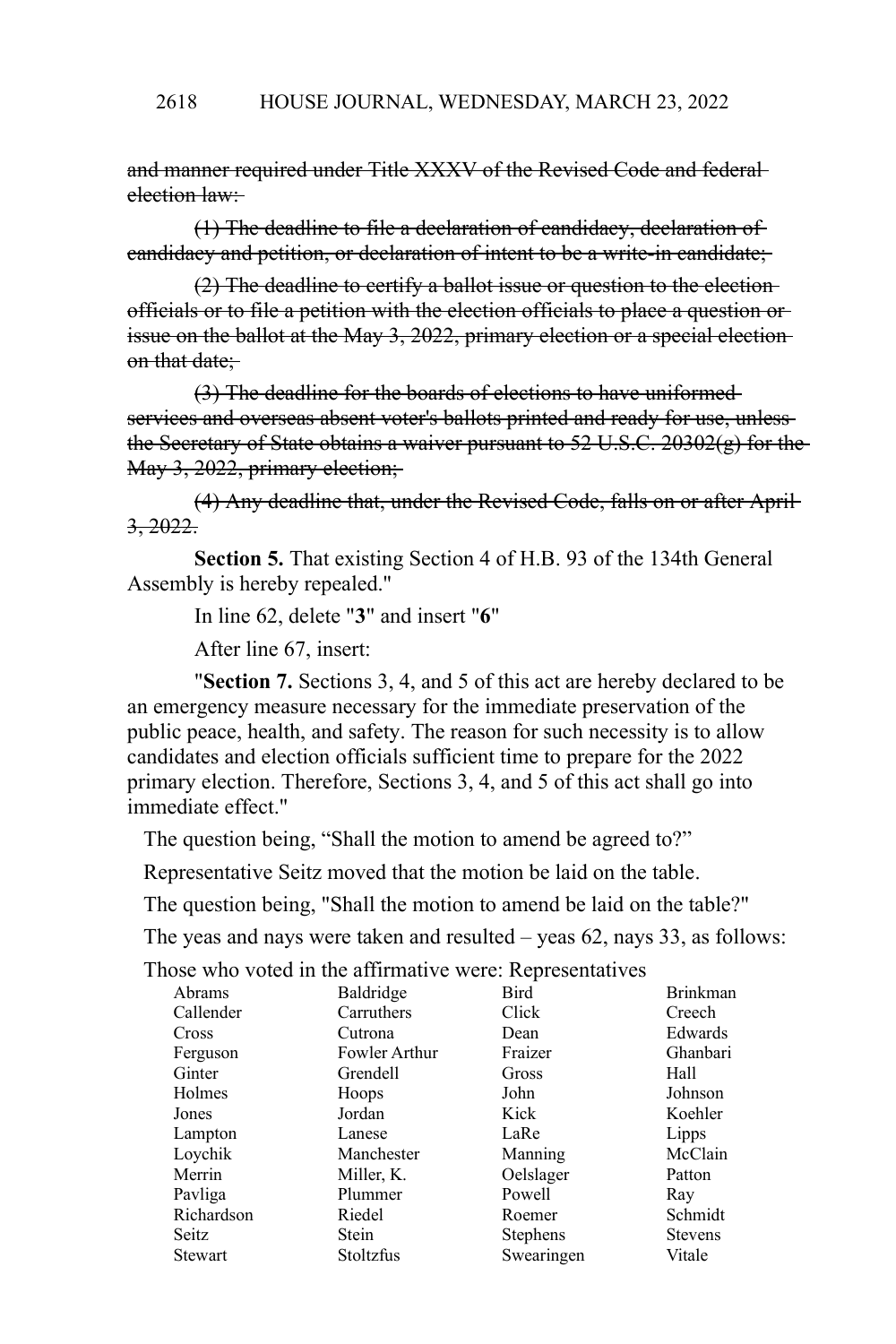and manner required under Title XXXV of the Revised Code and federal election law:

(1) The deadline to file a declaration of candidacy, declaration of candidacy and petition, or declaration of intent to be a write-in candidate;

(2) The deadline to certify a ballot issue or question to the election officials or to file a petition with the election officials to place a question or issue on the ballot at the May 3, 2022, primary election or a special election on that date:

(3) The deadline for the boards of elections to have uniformed services and overseas absent voter's ballots printed and ready for use, unlessthe Secretary of State obtains a waiver pursuant to  $52 \text{ U.S.C. } 20302(g)$  for the May 3, 2022, primary election;

(4) Any deadline that, under the Revised Code, falls on or after April  $3, 2022$ 

**Section 5.** That existing Section 4 of H.B. 93 of the 134th General Assembly is hereby repealed."

In line 62, delete "**3**" and insert "**6**"

After line 67, insert:

"**Section 7.** Sections 3, 4, and 5 of this act are hereby declared to be an emergency measure necessary for the immediate preservation of the public peace, health, and safety. The reason for such necessity is to allow candidates and election officials sufficient time to prepare for the 2022 primary election. Therefore, Sections 3, 4, and 5 of this act shall go into immediate effect."

The question being, "Shall the motion to amend be agreed to?"

Representative Seitz moved that the motion be laid on the table.

The question being, "Shall the motion to amend be laid on the table?"

The yeas and nays were taken and resulted – yeas 62, nays 33, as follows:

| Abrams     | Baldridge     | Bird            | <b>Brinkman</b> |
|------------|---------------|-----------------|-----------------|
| Callender  | Carruthers    | Click           | Creech          |
| Cross      | Cutrona       | Dean            | Edwards         |
| Ferguson   | Fowler Arthur | Fraizer         | Ghanbari        |
| Ginter     | Grendell      | Gross           | Hall            |
| Holmes     | Hoops         | John            | Johnson         |
| Jones      | Jordan        | Kick            | Koehler         |
| Lampton    | Lanese        | LaRe            | Lipps           |
| Loychik    | Manchester    | Manning         | McClain         |
| Merrin     | Miller, K.    | Oelslager       | Patton          |
| Pavliga    | Plummer       | Powell          | Ray             |
| Richardson | Riedel        | Roemer          | Schmidt         |
| Seitz      | <b>Stein</b>  | <b>Stephens</b> | <b>Stevens</b>  |
| Stewart    | Stoltzfus     | Swearingen      | Vitale          |
|            |               |                 |                 |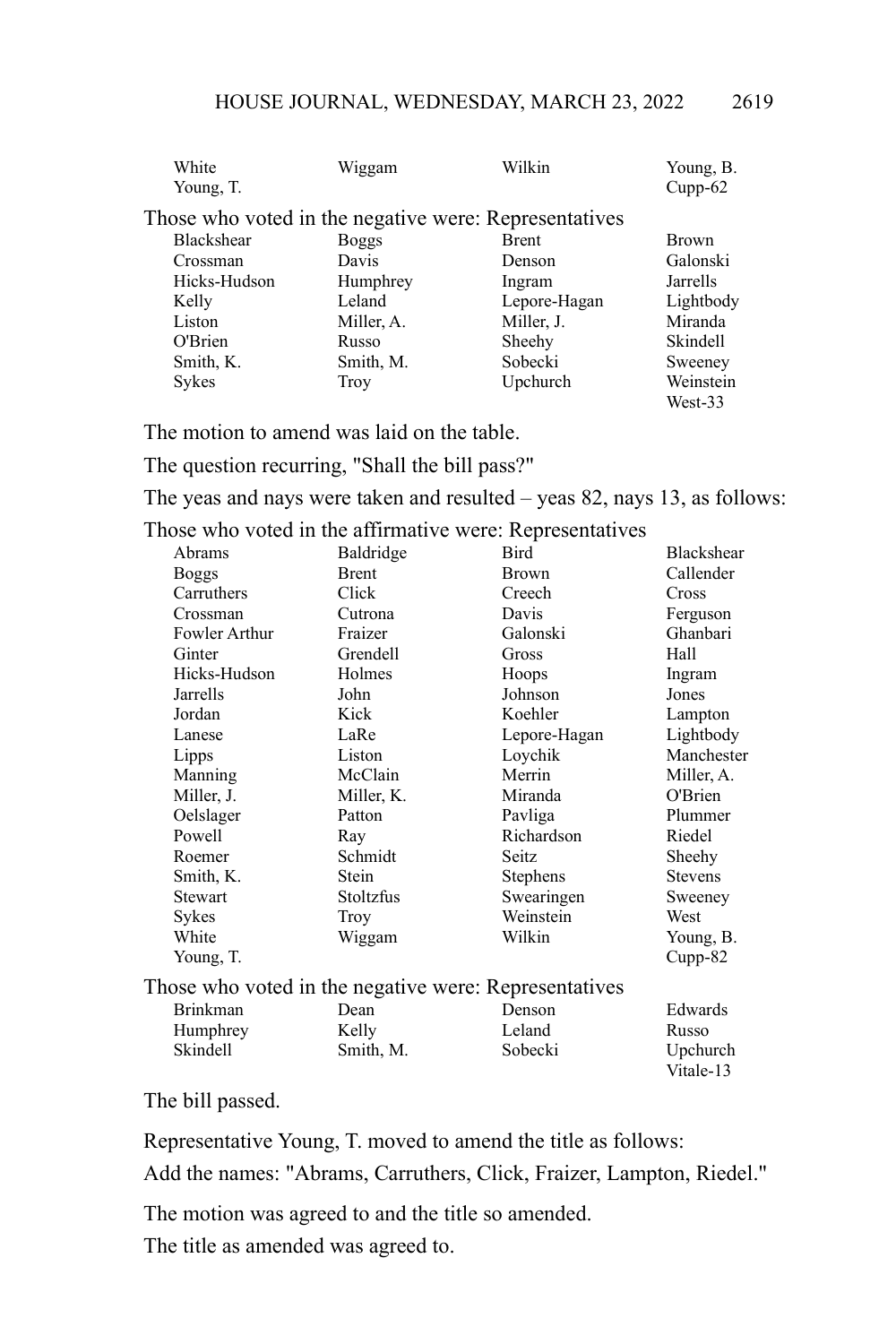| White<br>Young, T. | Wiggam       | Wilkin                                                | Young, B.<br>$Cupp-62$ |
|--------------------|--------------|-------------------------------------------------------|------------------------|
|                    |              | Those who voted in the negative were: Representatives |                        |
| <b>Blackshear</b>  | <b>Boggs</b> | <b>Brent</b>                                          | <b>Brown</b>           |
| Crossman           | Davis        | Denson                                                | Galonski               |
| Hicks-Hudson       | Humphrey     | Ingram                                                | Jarrells               |
| Kelly              | Leland       | Lepore-Hagan                                          | Lightbody              |
| Liston             | Miller, A.   | Miller, J.                                            | Miranda                |
| O'Brien            | Russo        | Sheehy                                                | <b>Skindell</b>        |
| Smith, K.          | Smith, M.    | Sobecki                                               | Sweeney                |
| <b>Sykes</b>       | Troy         | Upchurch                                              | Weinstein              |
|                    |              |                                                       | West-33                |

The motion to amend was laid on the table.

The question recurring, "Shall the bill pass?"

The yeas and nays were taken and resulted – yeas 82, nays 13, as follows:

Those who voted in the affirmative were: Representatives

| Abrams          | Baldridge    | Bird                                                  | <b>Blackshear</b> |
|-----------------|--------------|-------------------------------------------------------|-------------------|
| Boggs           | <b>Brent</b> | <b>Brown</b>                                          | Callender         |
| Carruthers      | Click        | Creech                                                | Cross             |
| Crossman        | Cutrona      | Davis                                                 | Ferguson          |
| Fowler Arthur   | Fraizer      | Galonski                                              | Ghanbari          |
| Ginter          | Grendell     | Gross                                                 | Hall              |
| Hicks-Hudson    | Holmes       | Hoops                                                 | Ingram            |
| Jarrells        | John         | Johnson                                               | Jones             |
| Jordan          | Kick         | Koehler                                               | Lampton           |
| Lanese          | LaRe         | Lepore-Hagan                                          | Lightbody         |
| Lipps           | Liston       | Loychik                                               | Manchester        |
| Manning         | McClain      | Merrin                                                | Miller, A.        |
| Miller, J.      | Miller, K.   | Miranda                                               | O'Brien           |
| Oelslager       | Patton       | Pavliga                                               | Plummer           |
| Powell          | Ray          | Richardson                                            | Riedel            |
| Roemer          | Schmidt      | Seitz                                                 | Sheehy            |
| Smith, K.       | Stein        | <b>Stephens</b>                                       | <b>Stevens</b>    |
| Stewart         | Stoltzfus    | Swearingen                                            | Sweeney           |
| Sykes           | Troy         | Weinstein                                             | West              |
| White           | Wiggam       | Wilkin                                                | Young, B.         |
| Young, T.       |              |                                                       | Cupp-82           |
|                 |              | Those who voted in the negative were: Representatives |                   |
| <b>Brinkman</b> | Dean         | Denson                                                | Edwards           |
| Humphrey        | Kelly        | Leland                                                | Russo             |
| Skindell        | Smith, M.    | Sobecki                                               | Upchurch          |
|                 |              |                                                       | Vitale-13         |

#### The bill passed.

Representative Young, T. moved to amend the title as follows:

Add the names: "Abrams, Carruthers, Click, Fraizer, Lampton, Riedel."

The motion was agreed to and the title so amended.

The title as amended was agreed to.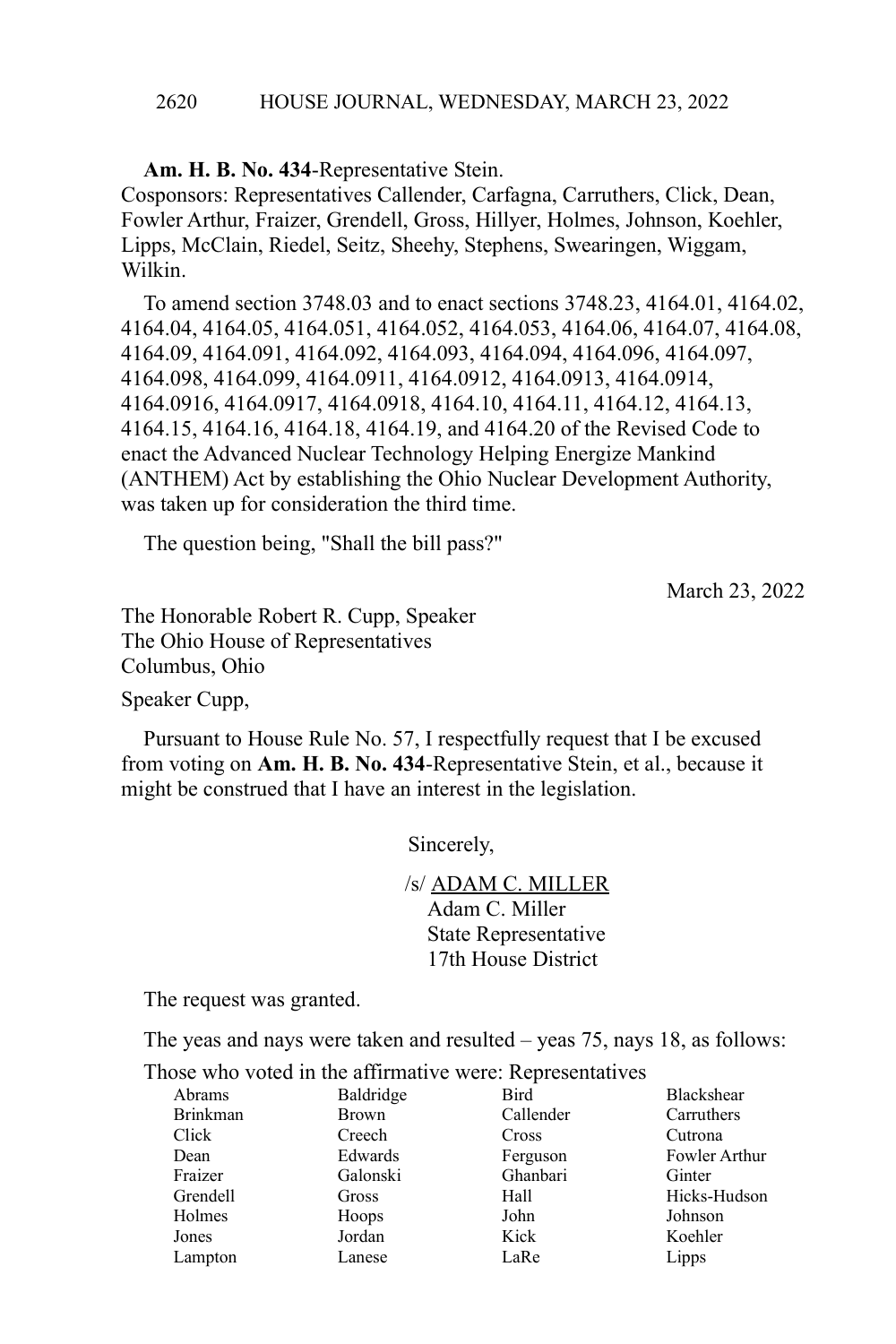#### HOUSE JOURNAL, WEDNESDAY, MARCH 23, 2022 2620

**Am. H. B. No. 434**-Representative Stein. Cosponsors: Representatives Callender, Carfagna, Carruthers, Click, Dean, Fowler Arthur, Fraizer, Grendell, Gross, Hillyer, Holmes, Johnson, Koehler, Lipps, McClain, Riedel, Seitz, Sheehy, Stephens, Swearingen, Wiggam, Wilkin.

To amend section 3748.03 and to enact sections 3748.23, 4164.01, 4164.02, 4164.04, 4164.05, 4164.051, 4164.052, 4164.053, 4164.06, 4164.07, 4164.08, 4164.09, 4164.091, 4164.092, 4164.093, 4164.094, 4164.096, 4164.097, 4164.098, 4164.099, 4164.0911, 4164.0912, 4164.0913, 4164.0914, 4164.0916, 4164.0917, 4164.0918, 4164.10, 4164.11, 4164.12, 4164.13, 4164.15, 4164.16, 4164.18, 4164.19, and 4164.20 of the Revised Code to enact the Advanced Nuclear Technology Helping Energize Mankind (ANTHEM) Act by establishing the Ohio Nuclear Development Authority, was taken up for consideration the third time.

The question being, "Shall the bill pass?"

March 23, 2022

The Honorable Robert R. Cupp, Speaker The Ohio House of Representatives Columbus, Ohio

Speaker Cupp,

Pursuant to House Rule No. 57, I respectfully request that I be excused from voting on **Am. H. B. No. 434**-Representative Stein, et al., because it might be construed that I have an interest in the legislation.

Sincerely,

/s/ ADAM C. MILLER Adam C. Miller State Representative 17th House District

The request was granted.

The yeas and nays were taken and resulted – yeas 75, nays 18, as follows:

| nose who voicu in the annihiative were. Representatives |              |           |                   |
|---------------------------------------------------------|--------------|-----------|-------------------|
| Abrams                                                  | Baldridge    | Bird      | <b>Blackshear</b> |
| <b>Brinkman</b>                                         | <b>Brown</b> | Callender | Carruthers        |
| Click                                                   | Creech       | Cross     | Cutrona           |
| Dean                                                    | Edwards      | Ferguson  | Fowler Arthur     |
| Fraizer                                                 | Galonski     | Ghanbari  | Ginter            |
| Grendell                                                | Gross        | Hall      | Hicks-Hudson      |
| Holmes                                                  | Hoops        | John      | Johnson           |
| Jones                                                   | Jordan       | Kick      | Koehler           |
| Lampton                                                 | Lanese       | LaRe      | Lipps             |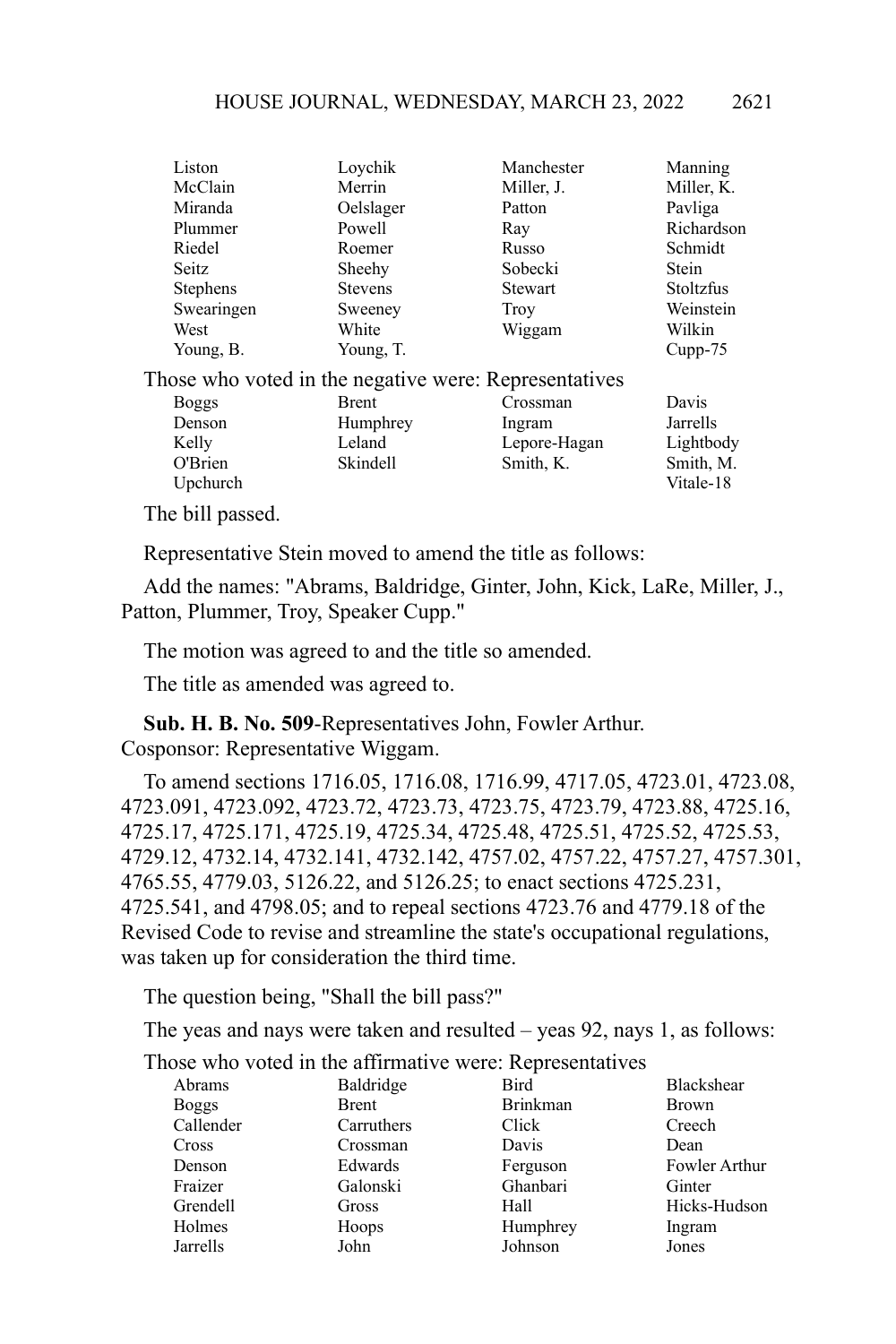|     | Liston                                                | Loychik        | Manchester     | Manning          |
|-----|-------------------------------------------------------|----------------|----------------|------------------|
|     | McClain                                               | Merrin         | Miller, J.     | Miller, K.       |
|     | Miranda                                               | Oelslager      | Patton         | Pavliga          |
|     | Plummer                                               | Powell         | Ray            | Richardson       |
|     | Riedel                                                | Roemer         | Russo          | Schmidt          |
|     | Seitz                                                 | Sheehy         | Sobecki        | Stein            |
|     | <b>Stephens</b>                                       | <b>Stevens</b> | <b>Stewart</b> | <b>Stoltzfus</b> |
|     | Swearingen                                            | Sweeney        | <b>Troy</b>    | Weinstein        |
|     | West                                                  | White          | Wiggam         | Wilkin           |
|     | Young, B.                                             | Young, T.      |                | $Cupp-75$        |
|     | Those who voted in the negative were: Representatives |                |                |                  |
|     | <b>Boggs</b>                                          | Brent          | Crossman       | Davis            |
|     | Denson                                                | Humphrey       | Ingram         | Jarrells         |
|     | Kelly                                                 | Leland         | Lepore-Hagan   | Lightbody        |
|     | O'Brien                                               | Skindell       | Smith, K.      | Smith, M.        |
|     | Upchurch                                              |                |                | Vitale-18        |
| m1. | $1.11$ $1.11$                                         |                |                |                  |

The bill passed.

Representative Stein moved to amend the title as follows:

Add the names: "Abrams, Baldridge, Ginter, John, Kick, LaRe, Miller, J., Patton, Plummer, Troy, Speaker Cupp."

The motion was agreed to and the title so amended.

The title as amended was agreed to.

**Sub. H. B. No. 509**-Representatives John, Fowler Arthur. Cosponsor: Representative Wiggam.

To amend sections 1716.05, 1716.08, 1716.99, 4717.05, 4723.01, 4723.08, 4723.091, 4723.092, 4723.72, 4723.73, 4723.75, 4723.79, 4723.88, 4725.16, 4725.17, 4725.171, 4725.19, 4725.34, 4725.48, 4725.51, 4725.52, 4725.53, 4729.12, 4732.14, 4732.141, 4732.142, 4757.02, 4757.22, 4757.27, 4757.301, 4765.55, 4779.03, 5126.22, and 5126.25; to enact sections 4725.231, 4725.541, and 4798.05; and to repeal sections 4723.76 and 4779.18 of the Revised Code to revise and streamline the state's occupational regulations, was taken up for consideration the third time.

The question being, "Shall the bill pass?"

The yeas and nays were taken and resulted – yeas 92, nays 1, as follows:

| Abrams       | Baldridge    | Bird            | <b>Blackshear</b> |
|--------------|--------------|-----------------|-------------------|
| <b>Boggs</b> | <b>Brent</b> | <b>Brinkman</b> | <b>Brown</b>      |
| Callender    | Carruthers   | Click           | Creech            |
| Cross        | Crossman     | Davis           | Dean              |
| Denson       | Edwards      | Ferguson        | Fowler Arthur     |
| Fraizer      | Galonski     | Ghanbari        | Ginter            |
| Grendell     | Gross        | Hall            | Hicks-Hudson      |
| Holmes       | Hoops        | Humphrey        | Ingram            |
| Jarrells     | John         | Johnson         | Jones             |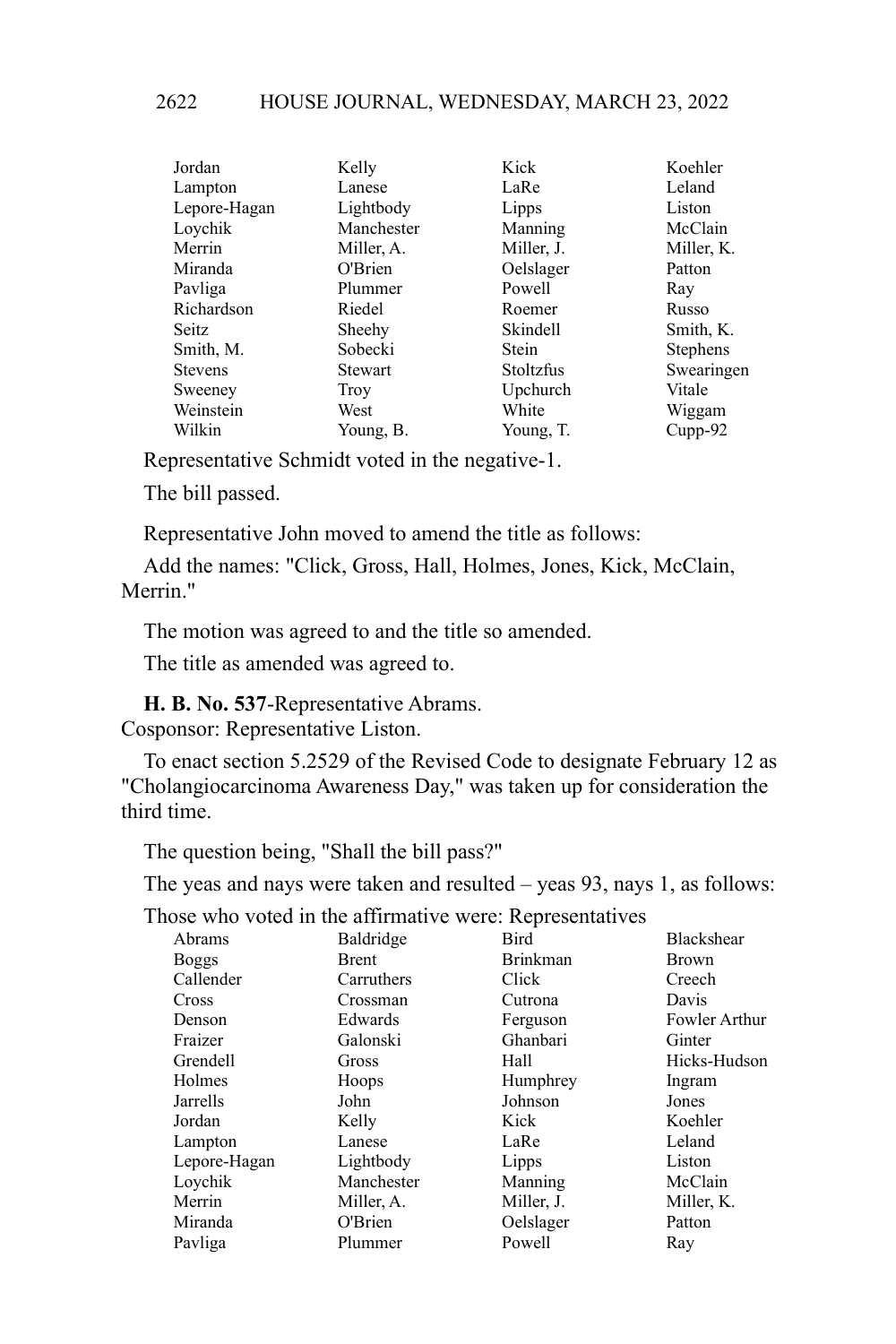| Jordan         | Kelly      | Kick       | Koehler         |
|----------------|------------|------------|-----------------|
| Lampton        | Lanese     | LaRe       | Leland          |
| Lepore-Hagan   | Lightbody  | Lipps      | Liston          |
| Loychik        | Manchester | Manning    | McClain         |
| Merrin         | Miller, A. | Miller, J. | Miller, K.      |
| Miranda        | O'Brien    | Oelslager  | Patton          |
| Pavliga        | Plummer    | Powell     | Ray             |
| Richardson     | Riedel     | Roemer     | Russo           |
| Seitz          | Sheehy     | Skindell   | Smith, K.       |
| Smith, M.      | Sobecki    | Stein      | <b>Stephens</b> |
| <b>Stevens</b> | Stewart    | Stoltzfus  | Swearingen      |
| Sweeney        | Troy       | Upchurch   | Vitale          |
| Weinstein      | West       | White      | Wiggam          |
| Wilkin         | Young, B.  | Young, T.  | $Cupp-92$       |

Representative Schmidt voted in the negative-1.

The bill passed.

Representative John moved to amend the title as follows:

Add the names: "Click, Gross, Hall, Holmes, Jones, Kick, McClain, Merrin."

The motion was agreed to and the title so amended.

The title as amended was agreed to.

**H. B. No. 537**-Representative Abrams.

Cosponsor: Representative Liston.

To enact section 5.2529 of the Revised Code to designate February 12 as "Cholangiocarcinoma Awareness Day," was taken up for consideration the third time.

The question being, "Shall the bill pass?"

The yeas and nays were taken and resulted – yeas 93, nays 1, as follows:

| Abrams       | Baldridge    | Bird            | <b>Blackshear</b>    |
|--------------|--------------|-----------------|----------------------|
| <b>Boggs</b> | <b>Brent</b> | <b>Brinkman</b> | <b>Brown</b>         |
| Callender    | Carruthers   | Click           | Creech               |
| Cross        | Crossman     | Cutrona         | Davis                |
| Denson       | Edwards      | Ferguson        | <b>Fowler Arthur</b> |
| Fraizer      | Galonski     | Ghanbari        | Ginter               |
| Grendell     | Gross        | Hall            | Hicks-Hudson         |
| Holmes       | Hoops        | Humphrey        | Ingram               |
| Jarrells     | John         | Johnson         | Jones                |
| Jordan       | Kelly        | Kick            | Koehler              |
| Lampton      | Lanese       | LaRe            | Leland               |
| Lepore-Hagan | Lightbody    | Lipps           | Liston               |
| Loychik      | Manchester   | Manning         | McClain              |
| Merrin       | Miller, A.   | Miller, J.      | Miller, K.           |
| Miranda      | O'Brien      | Oelslager       | Patton               |
| Pavliga      | Plummer      | Powell          | Ray                  |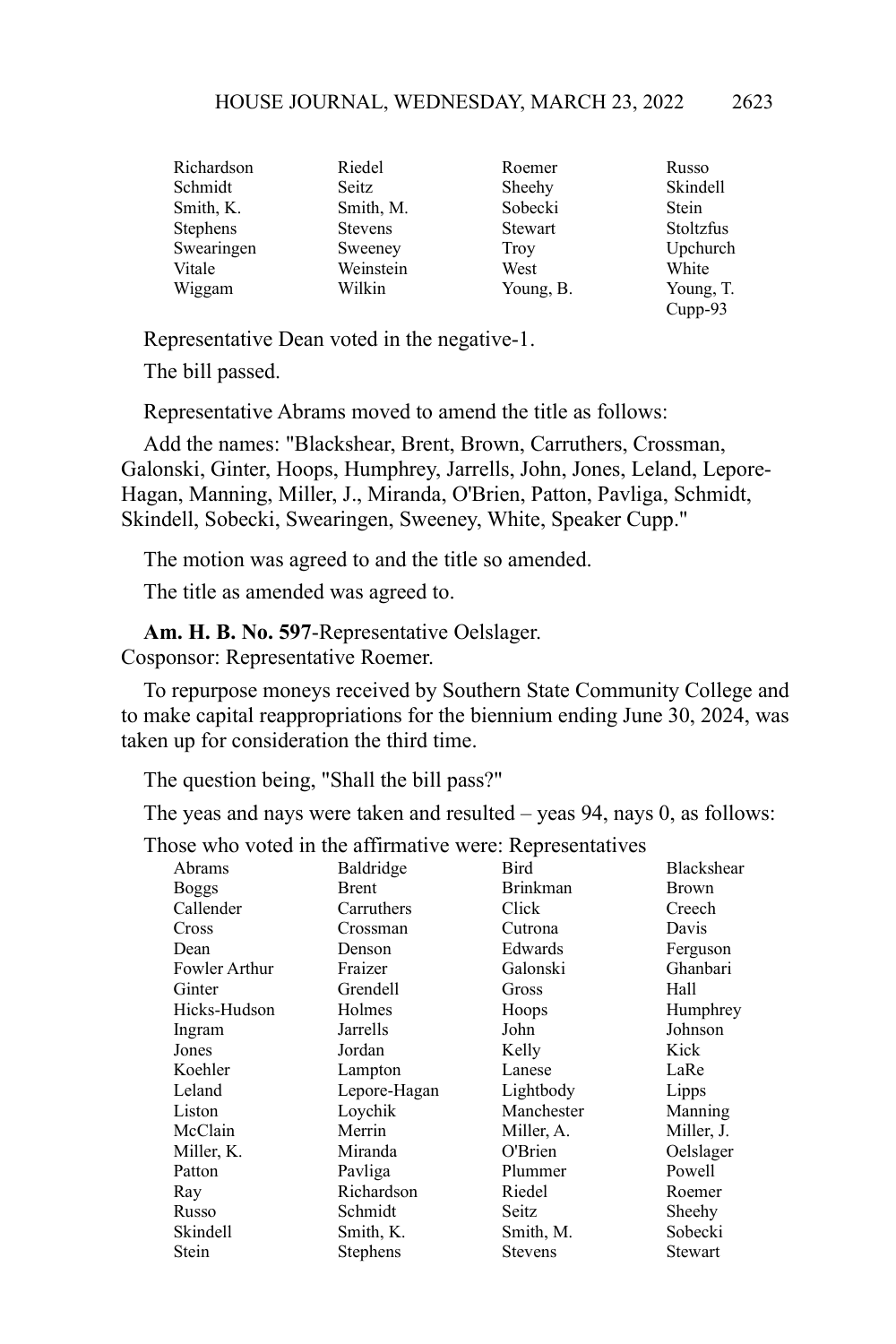| Richardson      | Riedel         | Roemer         | Russo            |
|-----------------|----------------|----------------|------------------|
| Schmidt         | Seitz          | Sheehy         | Skindell         |
| Smith, K.       | Smith, M.      | Sobecki        | <b>Stein</b>     |
| <b>Stephens</b> | <b>Stevens</b> | <b>Stewart</b> | <b>Stoltzfus</b> |
| Swearingen      | Sweeney        | <b>Troy</b>    | Upchurch         |
| Vitale          | Weinstein      | West           | White            |
| Wiggam          | Wilkin         | Young, B.      | Young, T.        |
|                 |                |                | $Cupp-93$        |

Representative Dean voted in the negative-1.

The bill passed.

Representative Abrams moved to amend the title as follows:

Add the names: "Blackshear, Brent, Brown, Carruthers, Crossman, Galonski, Ginter, Hoops, Humphrey, Jarrells, John, Jones, Leland, Lepore-Hagan, Manning, Miller, J., Miranda, O'Brien, Patton, Pavliga, Schmidt, Skindell, Sobecki, Swearingen, Sweeney, White, Speaker Cupp."

The motion was agreed to and the title so amended.

The title as amended was agreed to.

**Am. H. B. No. 597**-Representative Oelslager. Cosponsor: Representative Roemer.

To repurpose moneys received by Southern State Community College and to make capital reappropriations for the biennium ending June 30, 2024, was taken up for consideration the third time.

The question being, "Shall the bill pass?"

The yeas and nays were taken and resulted – yeas 94, nays 0, as follows:

|                      | $\ldots$ and william $\ldots$ is the complete substitution |                 |              |
|----------------------|------------------------------------------------------------|-----------------|--------------|
| Abrams               | Baldridge                                                  | Bird            | Blackshear   |
| <b>Boggs</b>         | Brent                                                      | <b>Brinkman</b> | <b>Brown</b> |
| Callender            | Carruthers                                                 | Click           | Creech       |
| Cross                | Crossman                                                   | Cutrona         | Davis        |
| Dean                 | Denson                                                     | Edwards         | Ferguson     |
| <b>Fowler Arthur</b> | Fraizer                                                    | Galonski        | Ghanbari     |
| Ginter               | Grendell                                                   | Gross           | Hall         |
| Hicks-Hudson         | Holmes                                                     | Hoops           | Humphrey     |
| Ingram               | Jarrells                                                   | John            | Johnson      |
| Jones                | Jordan                                                     | Kelly           | Kick         |
| Koehler              | Lampton                                                    | Lanese          | LaRe         |
| Leland               | Lepore-Hagan                                               | Lightbody       | Lipps        |
| Liston               | Loychik                                                    | Manchester      | Manning      |
| McClain              | Merrin                                                     | Miller, A.      | Miller, J.   |
| Miller, K.           | Miranda                                                    | O'Brien         | Oelslager    |
| Patton               | Pavliga                                                    | Plummer         | Powell       |
| Ray                  | Richardson                                                 | Riedel          | Roemer       |
| Russo                | Schmidt                                                    | Seitz           | Sheehy       |
| Skindell             | Smith, K.                                                  | Smith, M.       | Sobecki      |
| Stein                | Stephens                                                   | Stevens         | Stewart      |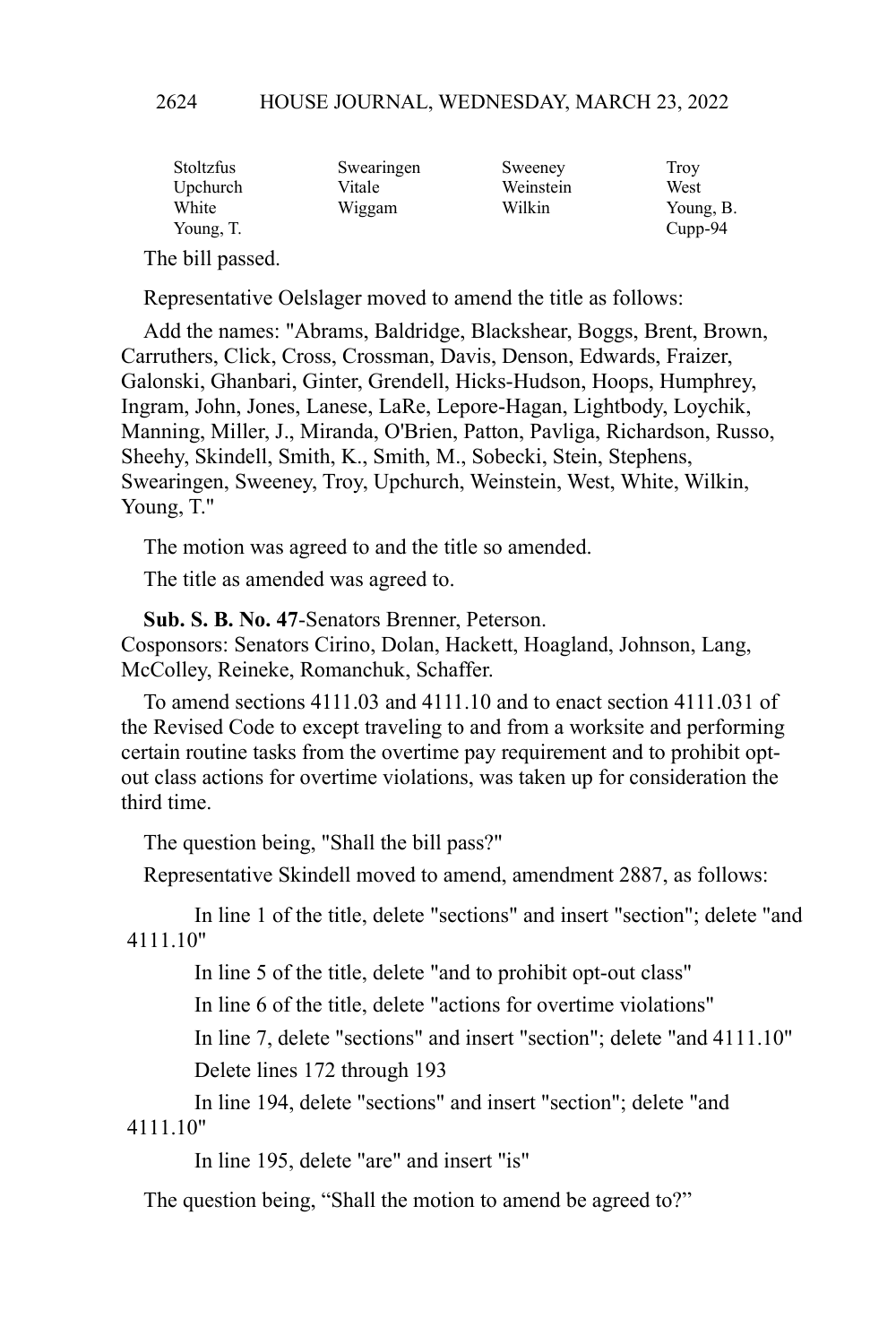| Stoltzfus | Swearingen | Sweeney   | Troy       |
|-----------|------------|-----------|------------|
| Upchurch  | Vitale     | Weinstein | West       |
| White     | Wiggam     | Wilkin    | Young, B.  |
| Young, T. |            |           | $C$ upp-94 |

The bill passed.

Representative Oelslager moved to amend the title as follows:

Add the names: "Abrams, Baldridge, Blackshear, Boggs, Brent, Brown, Carruthers, Click, Cross, Crossman, Davis, Denson, Edwards, Fraizer, Galonski, Ghanbari, Ginter, Grendell, Hicks-Hudson, Hoops, Humphrey, Ingram, John, Jones, Lanese, LaRe, Lepore-Hagan, Lightbody, Loychik, Manning, Miller, J., Miranda, O'Brien, Patton, Pavliga, Richardson, Russo, Sheehy, Skindell, Smith, K., Smith, M., Sobecki, Stein, Stephens, Swearingen, Sweeney, Troy, Upchurch, Weinstein, West, White, Wilkin, Young, T."

The motion was agreed to and the title so amended.

The title as amended was agreed to.

**Sub. S. B. No. 47**-Senators Brenner, Peterson. Cosponsors: Senators Cirino, Dolan, Hackett, Hoagland, Johnson, Lang, McColley, Reineke, Romanchuk, Schaffer.

To amend sections 4111.03 and 4111.10 and to enact section 4111.031 of the Revised Code to except traveling to and from a worksite and performing certain routine tasks from the overtime pay requirement and to prohibit optout class actions for overtime violations, was taken up for consideration the third time.

The question being, "Shall the bill pass?"

Representative Skindell moved to amend, amendment 2887, as follows:

In line 1 of the title, delete "sections" and insert "section"; delete "and 4111.10"

In line 5 of the title, delete "and to prohibit opt-out class"

In line 6 of the title, delete "actions for overtime violations"

In line 7, delete "sections" and insert "section"; delete "and 4111.10" Delete lines 172 through 193

In line 194, delete "sections" and insert "section"; delete "and 4111.10"

In line 195, delete "are" and insert "is"

The question being, "Shall the motion to amend be agreed to?"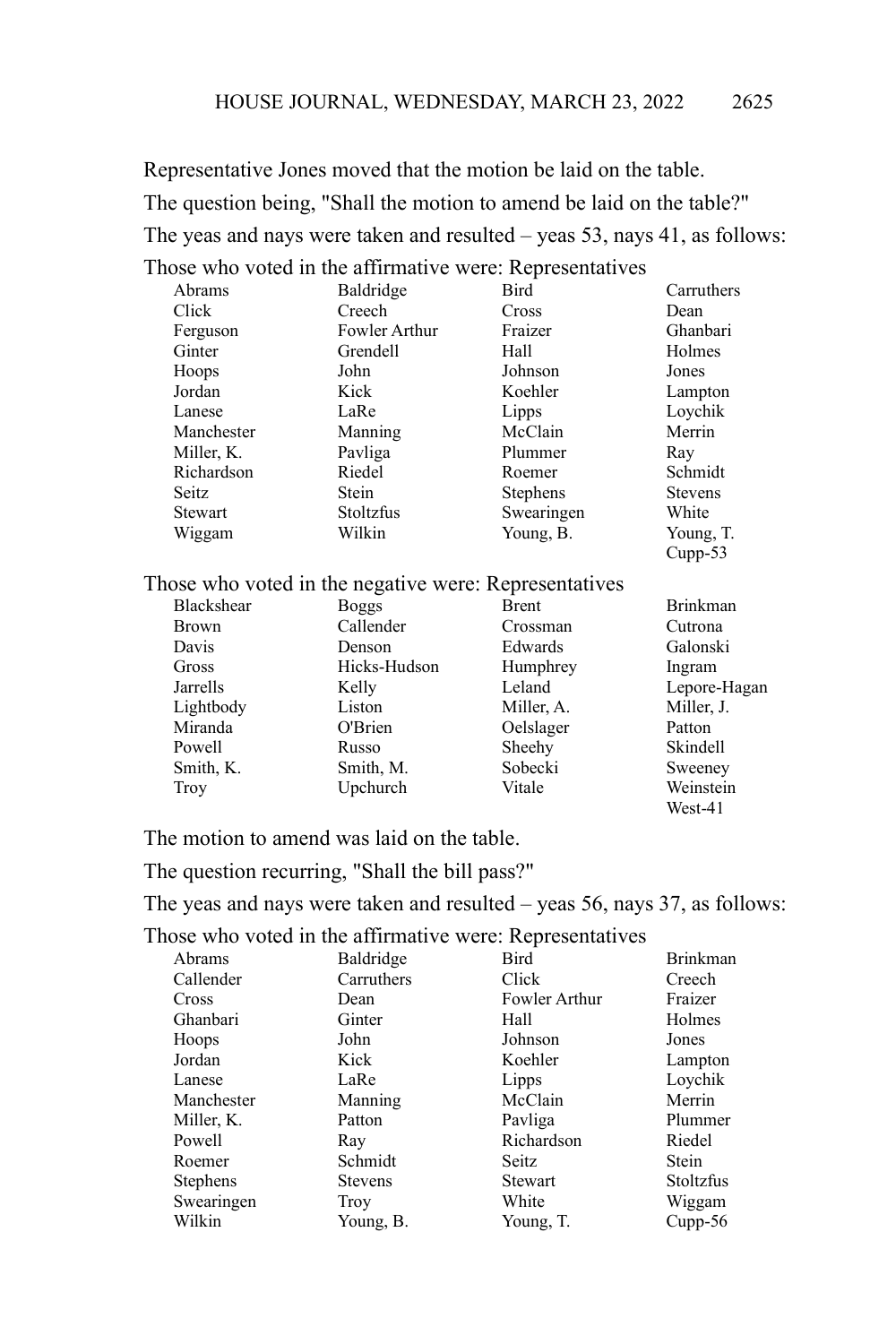Representative Jones moved that the motion be laid on the table. The question being, "Shall the motion to amend be laid on the table?" The yeas and nays were taken and resulted – yeas 53, nays 41, as follows: Those who voted in the affirmative were: Representatives

|            | $1000$ who voice in the animilative weight representatives |                 |                |
|------------|------------------------------------------------------------|-----------------|----------------|
| Abrams     | Baldridge                                                  | Bird            | Carruthers     |
| Click      | Creech                                                     | Cross           | Dean           |
| Ferguson   | Fowler Arthur                                              | Fraizer         | Ghanbari       |
| Ginter     | Grendell                                                   | Hall            | Holmes         |
| Hoops      | John                                                       | Johnson         | Jones          |
| Jordan     | Kick                                                       | Koehler         | Lampton        |
| Lanese     | LaRe                                                       | Lipps           | Loychik        |
| Manchester | Manning                                                    | McClain         | Merrin         |
| Miller, K. | Pavliga                                                    | Plummer         | Ray            |
| Richardson | Riedel                                                     | Roemer          | Schmidt        |
| Seitz      | Stein                                                      | <b>Stephens</b> | <b>Stevens</b> |
| Stewart    | Stoltzfus                                                  | Swearingen      | White          |
| Wiggam     | Wilkin                                                     | Young, B.       | Young, T.      |
|            |                                                            |                 | $C$ upp $-53$  |

# Those who voted in the negative were: Representatives

| <b>Blackshear</b> | <b>Boggs</b> | <b>Brent</b> | <b>Brinkman</b> |
|-------------------|--------------|--------------|-----------------|
| <b>Brown</b>      | Callender    | Crossman     | Cutrona         |
| Davis             | Denson       | Edwards      | Galonski        |
| Gross             | Hicks-Hudson | Humphrey     | Ingram          |
| Jarrells          | Kelly        | Leland       | Lepore-Hagan    |
| Lightbody         | Liston       | Miller, A.   | Miller, J.      |
| Miranda           | O'Brien      | Oelslager    | Patton          |
| Powell            | Russo        | Sheehy       | Skindell        |
| Smith, K.         | Smith, M.    | Sobecki      | Sweeney         |
| <b>Troy</b>       | Upchurch     | Vitale       | Weinstein       |
|                   |              |              | $W$ est-41      |

The motion to amend was laid on the table.

The question recurring, "Shall the bill pass?"

The yeas and nays were taken and resulted – yeas 56, nays 37, as follows:

| Abrams          | Baldridge      | Bird           | <b>Brinkman</b> |
|-----------------|----------------|----------------|-----------------|
| Callender       | Carruthers     | Click          | Creech          |
| Cross           | Dean           | Fowler Arthur  | Fraizer         |
| Ghanbari        | Ginter         | Hall           | Holmes          |
| <b>Hoops</b>    | John           | Johnson        | Jones           |
| Jordan          | Kick           | Koehler        | Lampton         |
| Lanese          | LaRe           | Lipps          | Loychik         |
| Manchester      | Manning        | McClain        | Merrin          |
| Miller, K.      | Patton         | Pavliga        | Plummer         |
| Powell          | Ray            | Richardson     | Riedel          |
| Roemer          | Schmidt        | Seitz          | Stein           |
| <b>Stephens</b> | <b>Stevens</b> | <b>Stewart</b> | Stoltzfus       |
| Swearingen      | Troy           | White          | Wiggam          |
| Wilkin          | Young, B.      | Young, T.      | $Cupp-56$       |